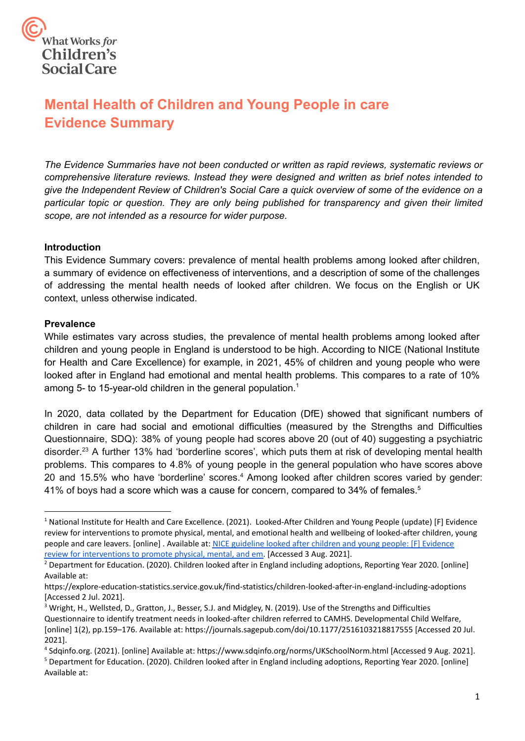

# **Mental Health of Children and Young People in care Evidence Summary**

*The Evidence Summaries have not been conducted or written as rapid reviews, systematic reviews or comprehensive literature reviews. Instead they were designed and written as brief notes intended to give the Independent Review of Children's Social Care a quick overview of some of the evidence on a particular topic or question. They are only being published for transparency and given their limited scope, are not intended as a resource for wider purpose.*

#### **Introduction**

 This Evidence Summary covers: prevalence of mental health problems among looked after children, a summary of evidence on effectiveness of interventions, and a description of some of the challenges of addressing the mental health needs of looked after children. We focus on the English or UK context, unless otherwise indicated.

#### **Prevalence**

 While estimates vary across studies, the prevalence of mental health problems among looked after children and young people in England is understood to be high. According to NICE (National Institute for Health and Care Excellence) for example, in 2021, 45% of children and young people who were looked after in England had emotional and mental health problems. This compares to a rate of 10% among 5- to 15-year-old children in the general population.<sup>1</sup>

 In 2020, data collated by the Department for Education (DfE) showed that significant numbers of children in care had social and emotional difficulties (measured by the Strengths and Difficulties Questionnaire, SDQ): 38% of young people had scores above 20 (out of 40) suggesting a psychiatric disorder.<sup>23</sup> A further 13% had 'borderline scores', which puts them at risk of developing mental health problems. This compares to 4.8% of young people in the general population who have scores above 20 and 15.5% who have 'borderline' scores.<sup>4</sup> Among looked after children scores varied by gender: 41% of boys had a score which was a cause for concern, compared to 34% of females.<sup>5</sup>

<sup>&</sup>lt;sup>1</sup> National Institute for Health and Care Excellence. (2021). Looked-After Children and Young People (update) [F] Evidence review for interventions to promote physical, mental, and emotional health and wellbeing of looked-after children, young people and care leavers. [online]. Available at: [NICE guideline looked after children and young people: \[F\] Evidence](https://www.nice.org.uk/guidance/gid-ng10121/documents/evidence-review-6) [review for interventions to promote physical, mental, and em.](https://www.nice.org.uk/guidance/gid-ng10121/documents/evidence-review-6) [Accessed 3 Aug. 2021].

<sup>&</sup>lt;sup>2</sup> Department for Education. (2020). Children looked after in England including adoptions, Reporting Year 2020. [online] Available at:

<https://explore-education-statistics.service.gov.uk/find-statistics/children-looked-after-in-england-including-adoptions> [Accessed 2 Jul. 2021].

<sup>&</sup>lt;sup>3</sup> Wright, H., Wellsted, D., Gratton, J., Besser, S.J. and Midgley, N. (2019). Use of the Strengths and Difficulties Questionnaire to identify treatment needs in looked-after children referred to CAMHS. Developmental Child Welfare, [online] 1(2), pp.159–176. Available at:<https://journals.sagepub.com/doi/10.1177/2516103218817555>[Accessed 20 Jul. 2021].

<sup>4</sup> [Sdqinfo.org](https://Sdqinfo.org). (2021). [online] Available at: <https://www.sdqinfo.org/norms/UKSchoolNorm.html>[Accessed 9 Aug. 2021].

<sup>5</sup> Department for Education. (2020). Children looked after in England including adoptions, Reporting Year 2020. [online] Available at: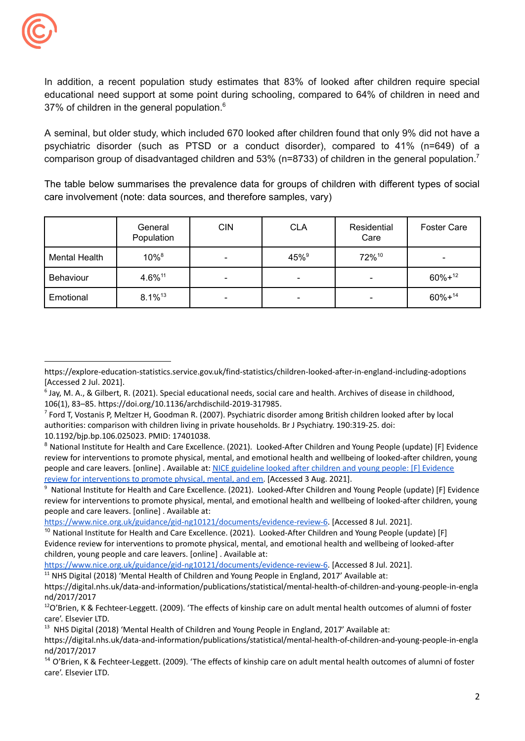37% of children in the general population. $6$ In addition, a recent population study estimates that 83% of looked after children require special educational need support at some point during schooling, compared to 64% of children in need and

comparison group of disadvantaged children and 53% (n=8733) of children in the general population.<sup>7</sup> A seminal, but older study, which included 670 looked after children found that only 9% did not have a psychiatric disorder (such as PTSD or a conduct disorder), compared to 41% (n=649) of a

 care involvement (note: data sources, and therefore samples, vary) The table below summarises the prevalence data for groups of children with different types of social

|                      | General<br>Population | <b>CIN</b> | <b>CLA</b>       | Residential<br>Care | <b>Foster Care</b> |
|----------------------|-----------------------|------------|------------------|---------------------|--------------------|
| <b>Mental Health</b> | 10%8                  |            | 45% <sup>9</sup> | 72%10               | $\qquad \qquad$    |
| Behaviour            | 4.6%11                | -          | ۰                |                     | $60\% + ^{12}$     |
| Emotional            | $8.1\%$ <sup>13</sup> | -          | ۰                |                     | $60\% + ^{14}$     |

[https://www.nice.org.uk/guidance/gid-ng10121/documents/evidence-review-6.](https://www.nice.org.uk/guidance/gid-ng10121/documents/evidence-review-6) [Accessed 8 Jul. 2021].

[https://www.nice.org.uk/guidance/gid-ng10121/documents/evidence-review-6.](https://www.nice.org.uk/guidance/gid-ng10121/documents/evidence-review-6) [Accessed 8 Jul. 2021].

 $11$  NHS Digital (2018) 'Mental Health of Children and Young People in England, 2017' Available at:

 [Accessed 2 Jul. 2021]. <https://explore-education-statistics.service.gov.uk/find-statistics/children-looked-after-in-england-including-adoptions>

 $^6$  Jay, M. A., & Gilbert, R. (2021). Special educational needs, social care and health. Archives of disease in childhood, 106(1), 83–85. <https://doi.org/10.1136/archdischild-2019-317985>.

 $^7$  Ford T, Vostanis P, Meltzer H, Goodman R. (2007). Psychiatric disorder among British children looked after by local authorities: comparison with children living in private households. Br J Psychiatry. 190:319-25. doi:

 10.1192/bjp.bp.106.025023. PMID: 17401038.

<sup>&</sup>lt;sup>8</sup> National Institute for Health and Care Excellence. (2021). Looked-After Children and Young People (update) [F] Evidence review for interventions to promote physical, mental, and emotional health and wellbeing of looked-after children, young people and care leavers. [online] . Available at: NICE [guideline](https://www.nice.org.uk/guidance/gid-ng10121/documents/evidence-review-6) looked after children and young people: [F] Evidence review for [interventions](https://www.nice.org.uk/guidance/gid-ng10121/documents/evidence-review-6) to promote physical, mental, and em. [Accessed 3 Aug. 2021].

<sup>&</sup>lt;sup>9</sup> National Institute for Health and Care Excellence. (2021). Looked-After Children and Young People (update) [F] Evidence review for interventions to promote physical, mental, and emotional health and wellbeing of looked-after children, young people and care leavers. [online] . Available at:

<sup>&</sup>lt;sup>10</sup> National Institute for Health and Care Excellence. (2021). Looked-After Children and Young People (update) [F] Evidence review for interventions to promote physical, mental, and emotional health and wellbeing of looked-after children, young people and care leavers. [online] . Available at:

<https://digital.nhs.uk/data-and-information/publications/statistical/mental-health-of-children-and-young-people-in-engla> nd/2017/2017

 $^{12}$ O'Brien, K & Fechteer-Leggett. (2009). 'The effects of kinship care on adult mental health outcomes of alumni of foster care'. Elsevier LTD.

 $^{13}$  NHS Digital (2018) 'Mental Health of Children and Young People in England, 2017' Available at:

<https://digital.nhs.uk/data-and-information/publications/statistical/mental-health-of-children-and-young-people-in-engla> nd/2017/2017

<sup>&</sup>lt;sup>14</sup> O'Brien, K & Fechteer-Leggett. (2009). 'The effects of kinship care on adult mental health outcomes of alumni of foster care'. Elsevier LTD.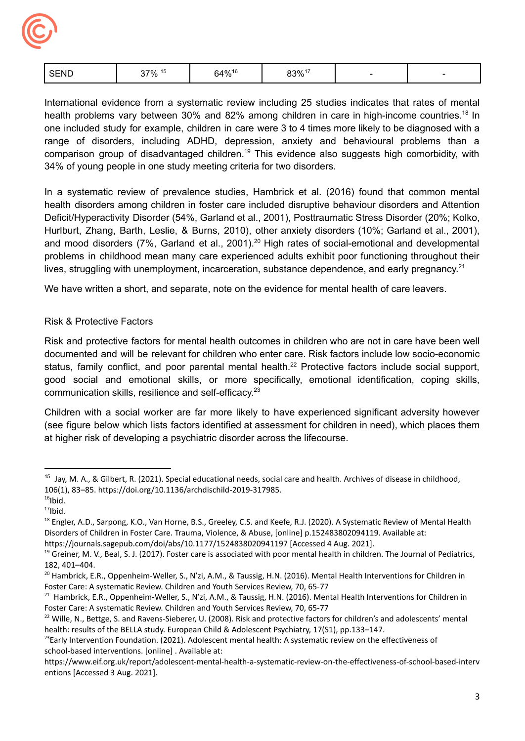

|  | SEND | 37% 15 | 64%16 | $83\%$ <sup>17</sup> |  |  |
|--|------|--------|-------|----------------------|--|--|
|--|------|--------|-------|----------------------|--|--|

 34% of young people in one study meeting criteria for two disorders. International evidence from a systematic review including 25 studies indicates that rates of mental health problems vary between 30% and 82% among children in care in high-income countries.<sup>18</sup> In one included study for example, children in care were 3 to 4 times more likely to be diagnosed with a range of disorders, including ADHD, depression, anxiety and behavioural problems than a comparison group of disadvantaged [children.19](https://children.19) This evidence also suggests high comorbidity, with

lives, struggling with unemployment, incarceration, substance dependence, and early pregnancy.<sup>21</sup> In a systematic review of prevalence studies, Hambrick et al. (2016) found that common mental health disorders among children in foster care included disruptive behaviour disorders and Attention Deficit/Hyperactivity Disorder (54%, Garland et al., 2001), Posttraumatic Stress Disorder (20%; Kolko, Hurlburt, Zhang, Barth, Leslie, & Burns, 2010), other anxiety disorders (10%; Garland et al., 2001), and mood disorders (7%, Garland et al., 2001).<sup>20</sup> High rates of social-emotional and developmental problems in childhood mean many care experienced adults exhibit poor functioning throughout their

We have written a short, and separate, note on the evidence for mental health of care leavers.

# Risk & Protective Factors

communication skills, resilience and self-efficacy.<sup>23</sup> Risk and protective factors for mental health outcomes in children who are not in care have been well documented and will be relevant for children who enter care. Risk factors include low socio-economic status, family conflict, and poor parental mental health.<sup>22</sup> Protective factors include social support, good social and emotional skills, or more specifically, emotional identification, coping skills,

 at higher risk of developing a psychiatric disorder across the lifecourse. Children with a social worker are far more likely to have experienced significant adversity however (see figure below which lists factors identified at assessment for children in need), which places them

<sup>&</sup>lt;sup>15</sup> Jay, M. A., & Gilbert, R. (2021). Special educational needs, social care and health. Archives of disease in childhood, 106(1), 83–85. <https://doi.org/10.1136/archdischild-2019-317985>.

 $16$ Ibid.

 $17$ Ibid.

<sup>&</sup>lt;sup>18</sup> Engler, A.D., Sarpong, K.O., Van Horne, B.S., Greeley, C.S. and Keefe, R.J. (2020). A Systematic Review of Mental Health Disorders of Children in Foster Care. Trauma, Violence, & Abuse, [online] p.152483802094119. Available at:

 <https://journals.sagepub.com/doi/abs/10.1177/1524838020941197> [Accessed 4 Aug. 2021].

<sup>&</sup>lt;sup>19</sup> Greiner, M. V., Beal, S. J. (2017). Foster care is associated with poor mental health in children. The Journal of Pediatrics, 182, 401–404.

<sup>&</sup>lt;sup>20</sup> Hambrick, E.R., Oppenheim-Weller, S., N'zi, A.M., & Taussig, H.N. (2016). Mental Health Interventions for Children in Foster Care: A systematic Review. Children and Youth Services Review, 70, 65-77

 $^{21}$  Hambrick, E.R., Oppenheim-Weller, S., N'zi, A.M., & Taussig, H.N. (2016). Mental Health Interventions for Children in Foster Care: A systematic Review. Children and Youth Services Review, 70, 65-77

 $22$  Wille, N., Bettge, S. and Ravens-Sieberer, U. (2008). Risk and protective factors for children's and adolescents' mental health: results of the BELLA study. European Child & Adolescent Psychiatry, 17(S1), pp.133–147.

<sup>&</sup>lt;sup>23</sup>Early Intervention Foundation. (2021). Adolescent mental health: A systematic review on the effectiveness of school-based interventions. [online] . Available at:

 entions [Accessed 3 Aug. 2021]. <https://www.eif.org.uk/report/adolescent-mental-health-a-systematic-review-on-the-effectiveness-of-school-based-interv>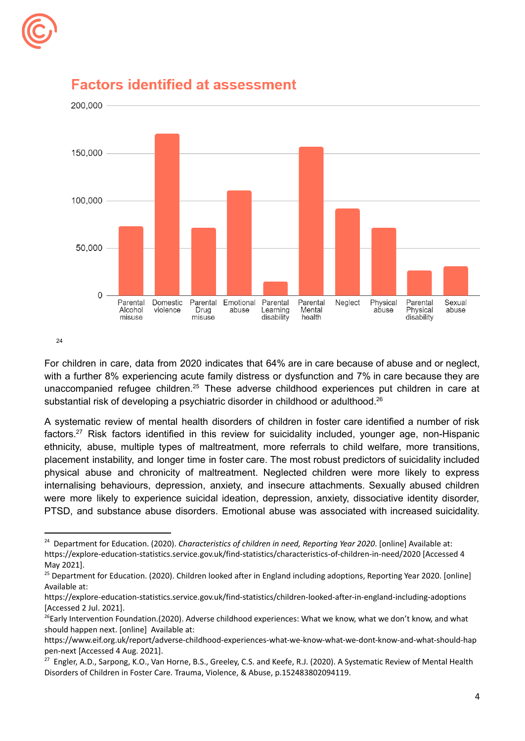



# **Factors identified at assessment**

24

substantial risk of developing a psychiatric disorder in childhood or adulthood.<sup>26</sup> For children in care, data from 2020 indicates that 64% are in care because of abuse and or neglect, with a further 8% experiencing acute family distress or dysfunction and 7% in care because they are unaccompanied refugee children.<sup>25</sup> These adverse childhood experiences put children in care at

A systematic review of mental health disorders of children in foster care identified a number of risk [factors.27](https://factors.27) Risk factors identified in this review for suicidality included, younger age, non-Hispanic ethnicity, abuse, multiple types of maltreatment, more referrals to child welfare, more transitions, placement instability, and longer time in foster care. The most robust predictors of suicidality included physical abuse and chronicity of maltreatment. Neglected children were more likely to express internalising behaviours, depression, anxiety, and insecure attachments. Sexually abused children were more likely to experience suicidal ideation, depression, anxiety, dissociative identity disorder, PTSD, and substance abuse disorders. Emotional abuse was associated with increased suicidality.

 <sup>24</sup> Department for Education. (2020). *Characteristics of children in need, Reporting Year 2020*. [online] Available at: <https://explore-education-statistics.service.gov.uk/find-statistics/characteristics-of-children-in-need/2020> [Accessed 4 May 2021].

<sup>&</sup>lt;sup>25</sup> Department for Education. (2020). Children looked after in England including adoptions, Reporting Year 2020. [online] Available at:

 [Accessed 2 Jul. 2021]. <https://explore-education-statistics.service.gov.uk/find-statistics/children-looked-after-in-england-including-adoptions>

<sup>&</sup>lt;sup>26</sup>Early Intervention Foundation.(2020). Adverse childhood experiences: What we know, what we don't know, and what should happen next. [online] Available at:

 pen-next [Accessed 4 Aug. 2021]. <https://www.eif.org.uk/report/adverse-childhood-experiences-what-we-know-what-we-dont-know-and-what-should-hap>

<sup>&</sup>lt;sup>27</sup> Engler, A.D., Sarpong, K.O., Van Horne, B.S., Greeley, C.S. and Keefe, R.J. (2020). A Systematic Review of Mental Health Disorders of Children in Foster Care. Trauma, Violence, & Abuse, p.152483802094119.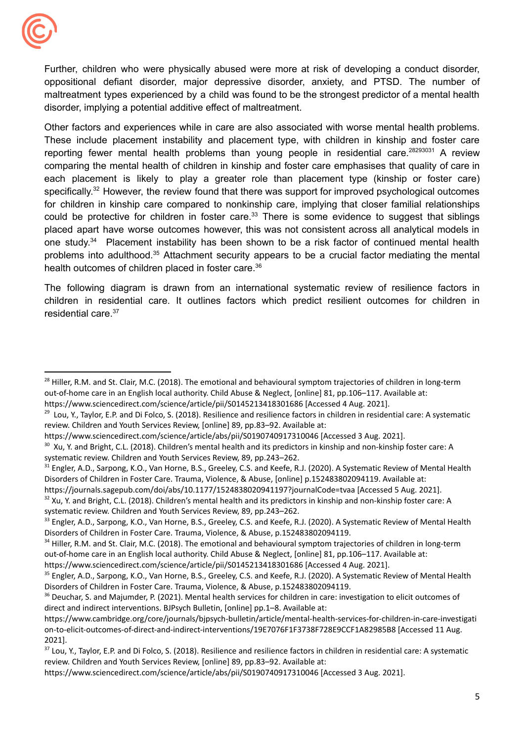

 disorder, implying a potential additive effect of maltreatment. Further, children who were physically abused were more at risk of developing a conduct disorder, oppositional defiant disorder, major depressive disorder, anxiety, and PTSD. The number of maltreatment types experienced by a child was found to be the strongest predictor of a mental health

health outcomes of children placed in foster care. $36$ Other factors and experiences while in care are also associated with worse mental health problems. These include placement instability and placement type, with children in kinship and foster care reporting fewer mental health problems than young people in residential care.<sup>28293031</sup> A review comparing the mental health of children in kinship and foster care emphasises that quality of care in each placement is likely to play a greater role than placement type (kinship or foster care) specifically.<sup>32</sup> However, the review found that there was support for improved psychological outcomes for children in kinship care compared to nonkinship care, implying that closer familial relationships could be protective for children in foster care.<sup>33</sup> There is some evidence to suggest that siblings placed apart have worse outcomes however, this was not consistent across all analytical models in one study.<sup>34</sup> Placement instability has been shown to be a risk factor of continued mental health problems into [adulthood.35](https://adulthood.35) Attachment security appears to be a crucial factor mediating the mental

The following diagram is drawn from an international systematic review of resilience factors in children in residential care. It outlines factors which predict resilient outcomes for children in residential care.37

<sup>&</sup>lt;sup>28</sup> Hiller, R.M. and St. Clair, M.C. (2018). The emotional and behavioural symptom trajectories of children in long-term out-of-home care in an English local authority. Child Abuse & Neglect, [online] 81, pp.106–117. Available at: <https://www.sciencedirect.com/science/article/pii/S0145213418301686> [Accessed 4 Aug. 2021].

<sup>&</sup>lt;sup>29</sup> Lou, Y., Taylor, E.P. and Di Folco, S. (2018). Resilience and resilience factors in children in residential care: A systematic review. Children and Youth Services Review, [online] 89, pp.83–92. Available at:

 <https://www.sciencedirect.com/science/article/abs/pii/S0190740917310046> [Accessed 3 Aug. 2021].

 $30\,$  Xu, Y. and Bright, C.L. (2018). Children's mental health and its predictors in kinship and non-kinship foster care: A systematic review. Children and Youth Services Review, 89, pp.243–262.

<sup>&</sup>lt;sup>31</sup> Engler, A.D., Sarpong, K.O., Van Horne, B.S., Greeley, C.S. and Keefe, R.J. (2020). A Systematic Review of Mental Health Disorders of Children in Foster Care. Trauma, Violence, & Abuse, [online] p.152483802094119. Available at:

 <https://journals.sagepub.com/doi/abs/10.1177/1524838020941197?journalCode=tvaa> [Accessed 5 Aug. 2021].

 $32$  Xu, Y. and Bright, C.L. (2018). Children's mental health and its predictors in kinship and non-kinship foster care: A systematic review. Children and Youth Services Review, 89, pp.243–262.

<sup>&</sup>lt;sup>33</sup> Engler, A.D., Sarpong, K.O., Van Horne, B.S., Greeley, C.S. and Keefe, R.J. (2020). A Systematic Review of Mental Health Disorders of Children in Foster Care. Trauma, Violence, & Abuse, p.152483802094119.

<sup>&</sup>lt;sup>34</sup> Hiller, R.M. and St. Clair, M.C. (2018). The emotional and behavioural symptom trajectories of children in long-term out-of-home care in an English local authority. Child Abuse & Neglect, [online] 81, pp.106–117. Available at:

 <https://www.sciencedirect.com/science/article/pii/S0145213418301686> [Accessed 4 Aug. 2021].

<sup>&</sup>lt;sup>35</sup> Engler, A.D., Sarpong, K.O., Van Horne, B.S., Greeley, C.S. and Keefe, R.J. (2020). A Systematic Review of Mental Health Disorders of Children in Foster Care. Trauma, Violence, & Abuse, p.152483802094119.

<sup>&</sup>lt;sup>36</sup> Deuchar, S. and Majumder, P. (2021). Mental health services for children in care: investigation to elicit outcomes of direct and indirect interventions. BJPsych Bulletin, [online] pp.1–8. Available at:

 on-to-elicit-outcomes-of-direct-and-indirect-interventions/19E7076F1F3738F728E9CCF1A82985B8 [Accessed 11 Aug. <https://www.cambridge.org/core/journals/bjpsych-bulletin/article/mental-health-services-for-children-in-care-investigati> 2021].

<sup>&</sup>lt;sup>37</sup> Lou, Y., Taylor, E.P. and Di Folco, S. (2018). Resilience and resilience factors in children in residential care: A systematic review. Children and Youth Services Review, [online] 89, pp.83–92. Available at:

 <https://www.sciencedirect.com/science/article/abs/pii/S0190740917310046> [Accessed 3 Aug. 2021].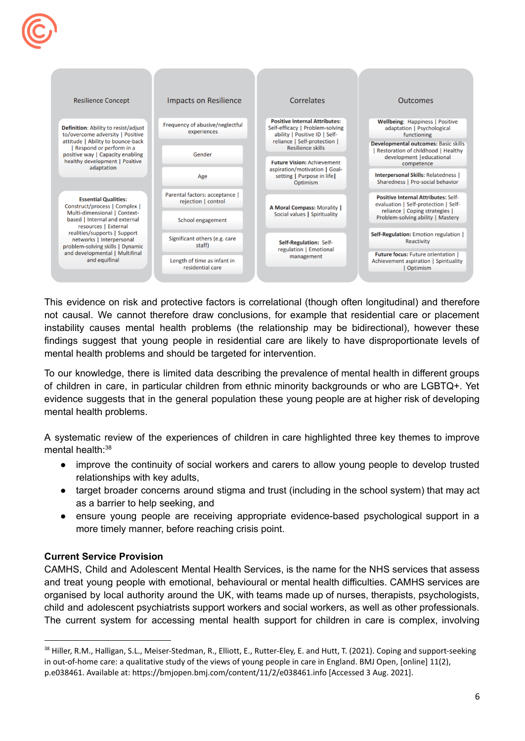

 mental health problems and should be targeted for intervention. This evidence on risk and protective factors is correlational (though often longitudinal) and therefore not causal. We cannot therefore draw conclusions, for example that residential care or placement instability causes mental health problems (the relationship may be bidirectional), however these findings suggest that young people in residential care are likely to have disproportionate levels of

 mental health problems. To our knowledge, there is limited data describing the prevalence of mental health in different groups of children in care, in particular children from ethnic minority backgrounds or who are LGBTQ+. Yet evidence suggests that in the general population these young people are at higher risk of developing

A systematic review of the experiences of children in care highlighted three key themes to improve mental health $38$ 

- relationships with key adults, • improve the continuity of social workers and carers to allow young people to develop trusted
- as a barrier to help seeking, and • target broader concerns around stigma and trust (including in the school system) that may act
- more timely manner, before reaching crisis point. ensure young people are receiving appropriate evidence-based psychological support in a

# **Current Service Provision**

CAMHS, Child and Adolescent Mental Health Services, is the name for the NHS services that assess and treat young people with emotional, behavioural or mental health difficulties. CAMHS services are organised by local authority around the UK, with teams made up of nurses, therapists, psychologists, child and adolescent psychiatrists support workers and social workers, as well as other professionals. The current system for accessing mental health support for children in care is complex, involving

<sup>&</sup>lt;sup>38</sup> Hiller, R.M., Halligan, S.L., Meiser-Stedman, R., Elliott, E., Rutter-Eley, E. and Hutt, T. (2021). Coping and support-seeking in out-of-home care: a qualitative study of the views of young people in care in England. BMJ Open, [online] 11(2), p.e038461. Available at: <https://bmjopen.bmj.com/content/11/2/e038461.info> [Accessed 3 Aug. 2021].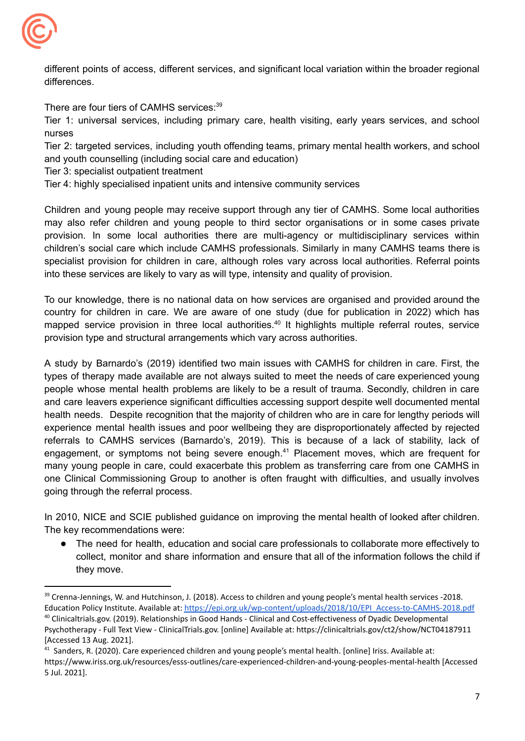

different points of access, different services, and significant local variation within the broader regional differences.

There are four tiers of CAMHS services:<sup>39</sup>

Tier 1: universal services, including primary care, health visiting, early years services, and school nurses

 and youth counselling (including social care and education) Tier 2: targeted services, including youth offending teams, primary mental health workers, and school

Tier 3: specialist outpatient treatment

Tier 4: highly specialised inpatient units and intensive community services

 into these services are likely to vary as will type, intensity and quality of provision. Children and young people may receive support through any tier of CAMHS. Some local authorities may also refer children and young people to third sector organisations or in some cases private provision. In some local authorities there are multi-agency or multidisciplinary services within children's social care which include CAMHS professionals. Similarly in many CAMHS teams there is specialist provision for children in care, although roles vary across local authorities. Referral points

 provision type and structural arrangements which vary across authorities. To our knowledge, there is no national data on how services are organised and provided around the country for children in care. We are aware of one study (due for publication in 2022) which has mapped service provision in three local authorities.<sup>40</sup> It highlights multiple referral routes, service

 going through the referral process. A study by Barnardo's (2019) identified two main issues with CAMHS for children in care. First, the types of therapy made available are not always suited to meet the needs of care experienced young people whose mental health problems are likely to be a result of trauma. Secondly, children in care and care leavers experience significant difficulties accessing support despite well documented mental health needs. Despite recognition that the majority of children who are in care for lengthy periods will experience mental health issues and poor wellbeing they are disproportionately affected by rejected referrals to CAMHS services (Barnardo's, 2019). This is because of a lack of stability, lack of engagement, or symptoms not being severe enough.<sup>41</sup> Placement moves, which are frequent for many young people in care, could exacerbate this problem as transferring care from one CAMHS in one Clinical Commissioning Group to another is often fraught with difficulties, and usually involves

 The key recommendations were: In 2010, NICE and SCIE published guidance on improving the mental health of looked after children.

The need for health, education and social care professionals to collaborate more effectively to collect, monitor and share information and ensure that all of the information follows the child if they move.

<sup>&</sup>lt;sup>40</sup> [Clinicaltrials.gov.](https://Clinicaltrials.gov) (2019). Relationships in Good Hands - Clinical and Cost-effectiveness of Dyadic Developmental <sup>39</sup> Crenna-Jennings, W. and Hutchinson, J. (2018). Access to children and young people's mental health services -2018. Education Policy Institute. Available at: [https://epi.org.uk/wp-content/uploads/2018/10/EPI\\_Access-to-CAMHS-2018.pdf](https://epi.org.uk/wp-content/uploads/2018/10/EPI_Access-to-CAMHS-2018.pdf)

 Psychotherapy - Full Text View - [ClinicalTrials.gov.](https://ClinicalTrials.gov) [online] Available at: <https://clinicaltrials.gov/ct2/show/NCT04187911> [Accessed 13 Aug. 2021].

<sup>&</sup>lt;sup>41</sup> Sanders, R. (2020). Care experienced children and young people's mental health. [online] Iriss. Available at: 5 Jul. 2021]. <https://www.iriss.org.uk/resources/esss-outlines/care-experienced-children-and-young-peoples-mental-health> [Accessed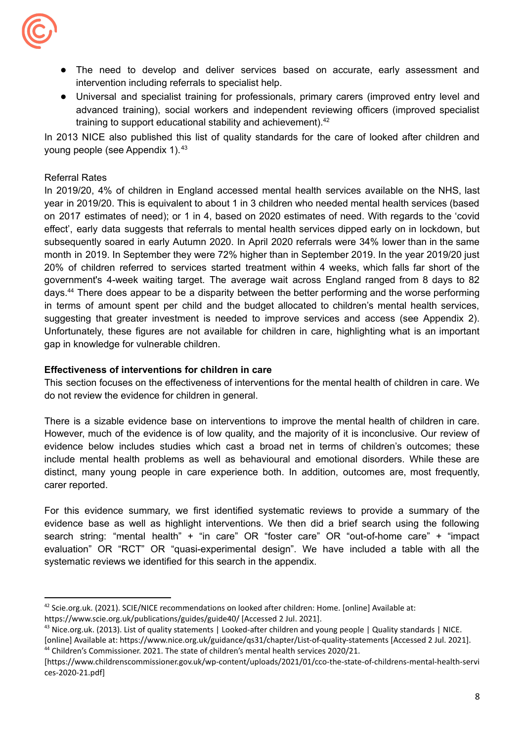

- intervention including referrals to specialist help. ● The need to develop and deliver services based on accurate, early assessment and
- training to support educational stability and achievement).<sup>42</sup> ● Universal and specialist training for professionals, primary carers (improved entry level and advanced training), social workers and independent reviewing officers (improved specialist

young people (see Appendix 1).<sup>43</sup> In 2013 NICE also published this list of quality standards for the care of looked after children and

# Referral Rates

 gap in knowledge for vulnerable children. In 2019/20, 4% of children in England accessed mental health services available on the NHS, last year in 2019/20. This is equivalent to about 1 in 3 children who needed mental health services (based on 2017 estimates of need); or 1 in 4, based on 2020 estimates of need. With regards to the 'covid effect', early data suggests that referrals to mental health services dipped early on in lockdown, but subsequently soared in early Autumn 2020. In April 2020 referrals were 34% lower than in the same month in 2019. In September they were 72% higher than in September 2019. In the year 2019/20 just 20% of children referred to services started treatment within 4 weeks, which falls far short of the government's 4-week waiting target. The average wait across England ranged from 8 days to 82 days.44 There does appear to be a disparity between the better performing and the worse performing in terms of amount spent per child and the budget allocated to children's mental health services, suggesting that greater investment is needed to improve services and access (see Appendix 2). Unfortunately, these figures are not available for children in care, highlighting what is an important

# **Effectiveness of interventions for children in care**

 do not review the evidence for children in general. This section focuses on the effectiveness of interventions for the mental health of children in care. We

There is a sizable evidence base on interventions to improve the mental health of children in care. However, much of the evidence is of low quality, and the majority of it is inconclusive. Our review of evidence below includes studies which cast a broad net in terms of children's outcomes; these include mental health problems as well as behavioural and emotional disorders. While these are distinct, many young people in care experience both. In addition, outcomes are, most frequently, carer reported.

 systematic reviews we identified for this search in the appendix. For this evidence summary, we first identified systematic reviews to provide a summary of the evidence base as well as highlight interventions. We then did a brief search using the following search string: "mental health" + "in care" OR "foster care" OR "out-of-home care" + "impact evaluation" OR "RCT" OR "quasi-experimental design". We have included a table with all the

 $42$  Scie.org.uk. (2021). SCIE/NICE recommendations on looked after children: Home. [online] Available at: [https://www.scie.org.uk/publications/guides/guide40/](https://www.scie.org.uk/publications/guides/guide40) [Accessed 2 Jul. 2021].

<sup>&</sup>lt;sup>43</sup> Nice.org.uk. (2013). List of quality statements | Looked-after children and young people | Quality standards | NICE.

<sup>&</sup>lt;sup>44</sup> Children's Commissioner. 2021. The state of children's mental health services 2020/21. [online] Available at: <https://www.nice.org.uk/guidance/qs31/chapter/List-of-quality-statements> [Accessed 2 Jul. 2021].

<sup>[</sup><https://www.childrenscommissioner.gov.uk/wp-content/uploads/2021/01/cco-the-state-of-childrens-mental-health-servi> ces-2020-21.pdf]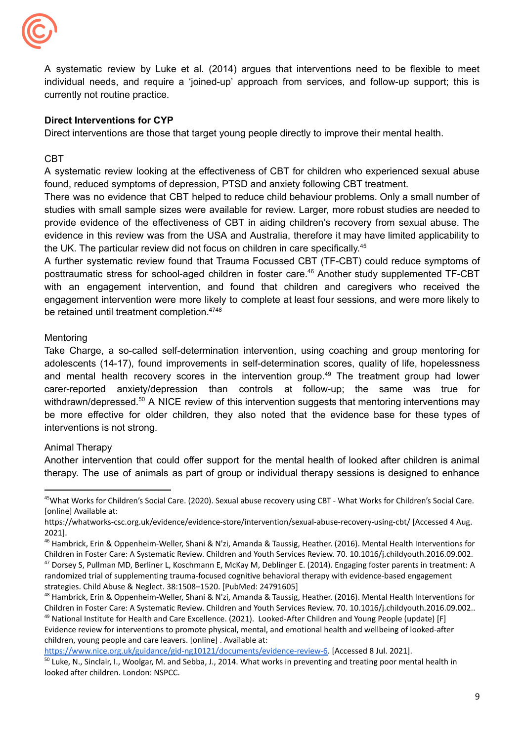

 currently not routine practice. A systematic review by Luke et al. (2014) argues that interventions need to be flexible to meet individual needs, and require a 'joined-up' approach from services, and follow-up support; this is

# **Direct Interventions for CYP**

Direct interventions are those that target young people directly to improve their mental health.

CBT

 found, reduced symptoms of depression, PTSD and anxiety following CBT treatment. A systematic review looking at the effectiveness of CBT for children who experienced sexual abuse

the UK. The particular review did not focus on children in care specifically.<sup>45</sup> There was no evidence that CBT helped to reduce child behaviour problems. Only a small number of studies with small sample sizes were available for review. Larger, more robust studies are needed to provide evidence of the effectiveness of CBT in aiding children's recovery from sexual abuse. The evidence in this review was from the USA and Australia, therefore it may have limited applicability to

be retained until treatment completion.<sup>4748</sup> A further systematic review found that Trauma Focussed CBT (TF-CBT) could reduce symptoms of posttraumatic stress for school-aged children in foster care.<sup>46</sup> Another study supplemented TF-CBT with an engagement intervention, and found that children and caregivers who received the engagement intervention were more likely to complete at least four sessions, and were more likely to

#### Mentoring

 interventions is not strong. Take Charge, a so-called self-determination intervention, using coaching and group mentoring for adolescents (14-17), found improvements in self-determination scores, quality of life, hopelessness and mental health recovery scores in the intervention group.<sup>49</sup> The treatment group had lower carer-reported anxiety/depression than controls at follow-up; the same was true for withdrawn/depressed.<sup>50</sup> A NICE review of this intervention suggests that mentoring interventions may be more effective for older children, they also noted that the evidence base for these types of

# Animal Therapy

Another intervention that could offer support for the mental health of looked after children is animal therapy. The use of animals as part of group or individual therapy sessions is designed to enhance

 Evidence review for interventions to promote physical, mental, and emotional health and wellbeing of looked-after children, young people and care leavers. [online] . Available at:

[https://www.nice.org.uk/guidance/gid-ng10121/documents/evidence-review-6.](https://www.nice.org.uk/guidance/gid-ng10121/documents/evidence-review-6) [Accessed 8 Jul. 2021].

<sup>&</sup>lt;sup>45</sup>What Works for Children's Social Care. (2020). Sexual abuse recovery using CBT - What Works for Children's Social Care. [online] Available at:

 [https://whatworks-csc.org.uk/evidence/evidence-store/intervention/sexual-abuse-recovery-using-cbt/](https://whatworks-csc.org.uk/evidence/evidence-store/intervention/sexual-abuse-recovery-using-cbt) [Accessed 4 Aug. 2021].

<sup>&</sup>lt;sup>46</sup> Hambrick, Erin & Oppenheim-Weller, Shani & N'zi, Amanda & Taussig, Heather. (2016). Mental Health Interventions for Children in Foster Care: A Systematic Review. Children and Youth Services Review. 70. 10.1016/j.childyouth.2016.09.002.

<sup>&</sup>lt;sup>47</sup> Dorsey S, Pullman MD, Berliner L, Koschmann E, McKay M, Deblinger E. (2014). Engaging foster parents in treatment: A randomized trial of supplementing trauma-focused cognitive behavioral therapy with evidence-based engagement strategies. Child Abuse & Neglect. 38:1508–1520. [PubMed: 24791605]

<sup>&</sup>lt;sup>49</sup> National Institute for Health and Care Excellence. (2021). Looked-After Children and Young People (update) [F] <sup>48</sup> Hambrick, Erin & Oppenheim-Weller, Shani & N'zi, Amanda & Taussig, Heather. (2016). Mental Health Interventions for Children in Foster Care: A Systematic Review. Children and Youth Services Review. 70. 10.1016/j.childyouth.2016.09.002..

<sup>&</sup>lt;sup>50</sup> Luke, N., Sinclair, I., Woolgar, M. and Sebba, J., 2014. What works in preventing and treating poor mental health in looked after children. London: NSPCC.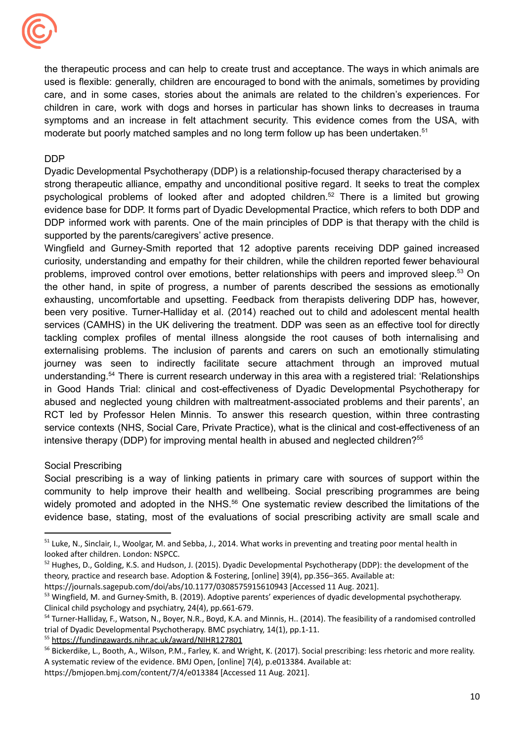

moderate but poorly matched samples and no long term follow up has been undertaken.<sup>51</sup> the therapeutic process and can help to create trust and acceptance. The ways in which animals are used is flexible: generally, children are encouraged to bond with the animals, sometimes by providing care, and in some cases, stories about the animals are related to the children's experiences. For children in care, work with dogs and horses in particular has shown links to decreases in trauma symptoms and an increase in felt attachment security. This evidence comes from the USA, with

# DDP

 Dyadic Developmental Psychotherapy (DDP) is a relationship-focused therapy characterised by a supported by the parents/caregivers' active presence. strong therapeutic alliance, empathy and unconditional positive regard. It seeks to treat the complex psychological problems of looked after and adopted children.<sup>52</sup> There is a limited but growing evidence base for DDP. It forms part of Dyadic Developmental Practice, which refers to both DDP and DDP informed work with parents. One of the main principles of DDP is that therapy with the child is

intensive therapy (DDP) for improving mental health in abused and neglected children?<sup>55</sup> Wingfield and Gurney-Smith reported that 12 adoptive parents receiving DDP gained increased curiosity, understanding and empathy for their children, while the children reported fewer behavioural problems, improved control over emotions, better relationships with peers and improved sleep.<sup>53</sup> On the other hand, in spite of progress, a number of parents described the sessions as emotionally exhausting, uncomfortable and upsetting. Feedback from therapists delivering DDP has, however, been very positive. Turner-Halliday et al. (2014) reached out to child and adolescent mental health services (CAMHS) in the UK delivering the treatment. DDP was seen as an effective tool for directly tackling complex profiles of mental illness alongside the root causes of both internalising and externalising problems. The inclusion of parents and carers on such an emotionally stimulating journey was seen to indirectly facilitate secure attachment through an improved mutual [understanding.54](https://understanding.54) There is current research underway in this area with a registered trial: 'Relationships in Good Hands Trial: clinical and cost-effectiveness of Dyadic Developmental Psychotherapy for abused and neglected young children with maltreatment-associated problems and their parents', an RCT led by Professor Helen Minnis. To answer this research question, within three contrasting service contexts (NHS, Social Care, Private Practice), what is the clinical and cost-effectiveness of an

# Social Prescribing

Social prescribing is a way of linking patients in primary care with sources of support within the community to help improve their health and wellbeing. Social prescribing programmes are being widely promoted and adopted in the NHS.<sup>56</sup> One systematic review described the limitations of the evidence base, stating, most of the evaluations of social prescribing activity are small scale and

<sup>&</sup>lt;sup>51</sup> Luke, N., Sinclair, I., Woolgar, M. and Sebba, J., 2014. What works in preventing and treating poor mental health in looked after children. London: NSPCC.

<sup>&</sup>lt;sup>52</sup> Hughes, D., Golding, K.S. and Hudson, J. (2015). Dyadic Developmental Psychotherapy (DDP): the development of the theory, practice and research base. Adoption & Fostering, [online] 39(4), pp.356–365. Available at:

 <https://journals.sagepub.com/doi/abs/10.1177/0308575915610943> [Accessed 11 Aug. 2021].

<sup>&</sup>lt;sup>53</sup> Wingfield, M. and Gurney-Smith, B. (2019). Adoptive parents' experiences of dyadic developmental psychotherapy. Clinical child psychology and psychiatry, 24(4), pp.661-679.

<sup>&</sup>lt;sup>54</sup> Turner-Halliday, F., Watson, N., Boyer, N.R., Boyd, K.A. and Minnis, H.. (2014). The feasibility of a randomised controlled trial of Dyadic Developmental Psychotherapy. BMC psychiatry, 14(1), pp.1-11.

<sup>55</sup> <https://fundingawards.nihr.ac.uk/award/NIHR127801>

<sup>&</sup>lt;sup>56</sup> Bickerdike, L., Booth, A., Wilson, P.M., Farley, K. and Wright, K. (2017). Social prescribing: less rhetoric and more reality. A systematic review of the evidence. BMJ Open, [online] 7(4), p.e013384. Available at:

 <https://bmjopen.bmj.com/content/7/4/e013384> [Accessed 11 Aug. 2021].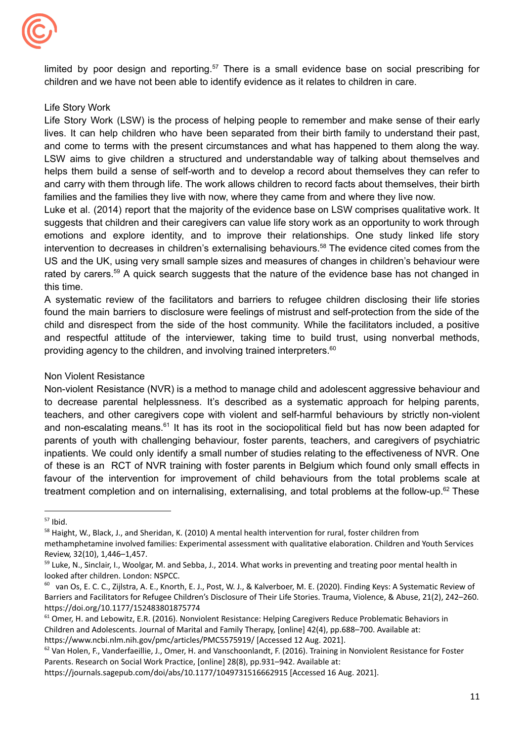

 children and we have not been able to identify evidence as it relates to children in care. limited by poor design and reporting.<sup>57</sup> There is a small evidence base on social prescribing for

# Life Story Work

 families and the families they live with now, where they came from and where they live now. Life Story Work (LSW) is the process of helping people to remember and make sense of their early lives. It can help children who have been separated from their birth family to understand their past, and come to terms with the present circumstances and what has happened to them along the way. LSW aims to give children a structured and understandable way of talking about themselves and helps them build a sense of self-worth and to develop a record about themselves they can refer to and carry with them through life. The work allows children to record facts about themselves, their birth

Luke et al. (2014) report that the majority of the evidence base on LSW comprises qualitative work. It suggests that children and their caregivers can value life story work as an opportunity to work through emotions and explore identity, and to improve their relationships. One study linked life story intervention to decreases in children's externalising behaviours.<sup>58</sup> The evidence cited comes from the US and the UK, using very small sample sizes and measures of changes in children's behaviour were rated by carers.<sup>59</sup> A quick search suggests that the nature of the evidence base has not changed in this time.

providing agency to the children, and involving trained interpreters.<sup>60</sup> A systematic review of the facilitators and barriers to refugee children disclosing their life stories found the main barriers to disclosure were feelings of mistrust and self-protection from the side of the child and disrespect from the side of the host community. While the facilitators included, a positive and respectful attitude of the interviewer, taking time to build trust, using nonverbal methods,

# Non Violent Resistance

Non-violent Resistance (NVR) is a method to manage child and adolescent aggressive behaviour and to decrease parental helplessness. It's described as a systematic approach for helping parents, teachers, and other caregivers cope with violent and self-harmful behaviours by strictly non-violent and non-escalating means.<sup>61</sup> It has its root in the sociopolitical field but has now been adapted for parents of youth with challenging behaviour, foster parents, teachers, and caregivers of psychiatric inpatients. We could only identify a small number of studies relating to the effectiveness of NVR. One of these is an RCT of NVR training with foster parents in Belgium which found only small effects in favour of the intervention for improvement of child behaviours from the total problems scale at treatment completion and on internalising, externalising, and total problems at the follow-up.<sup>62</sup> These

 $57$  Ibid.

<sup>&</sup>lt;sup>58</sup> Haight, W., Black, J., and Sheridan, K. (2010) A mental health intervention for rural, foster children from methamphetamine involved families: Experimental assessment with qualitative elaboration. Children and Youth Services Review, 32(10), 1,446–1,457.

<sup>&</sup>lt;sup>59</sup> Luke, N., Sinclair, I., Woolgar, M. and Sebba, J., 2014. What works in preventing and treating poor mental health in looked after children. London: NSPCC.

<sup>&</sup>lt;sup>60</sup> van Os, E. C. C., Zijlstra, A. E., Knorth, E. J., Post, W. J., & Kalverboer, M. E. (2020). Finding Keys: A Systematic Review of Barriers and Facilitators for Refugee Children's Disclosure of Their Life Stories. Trauma, Violence, & Abuse, 21(2), 242–260. <https://doi.org/10.1177/152483801875774>

<sup>&</sup>lt;sup>61</sup> Omer, H. and Lebowitz, E.R. (2016). Nonviolent Resistance: Helping Caregivers Reduce Problematic Behaviors in Children and Adolescents. Journal of Marital and Family Therapy, [online] 42(4), pp.688–700. Available at: [https://www.ncbi.nlm.nih.gov/pmc/articles/PMC5575919/](https://www.ncbi.nlm.nih.gov/pmc/articles/PMC5575919) [Accessed 12 Aug. 2021].

<sup>&</sup>lt;sup>62</sup> Van Holen, F., Vanderfaeillie, J., Omer, H. and Vanschoonlandt, F. (2016). Training in Nonviolent Resistance for Foster Parents. Research on Social Work Practice, [online] 28(8), pp.931–942. Available at:

 <https://journals.sagepub.com/doi/abs/10.1177/1049731516662915> [Accessed 16 Aug. 2021].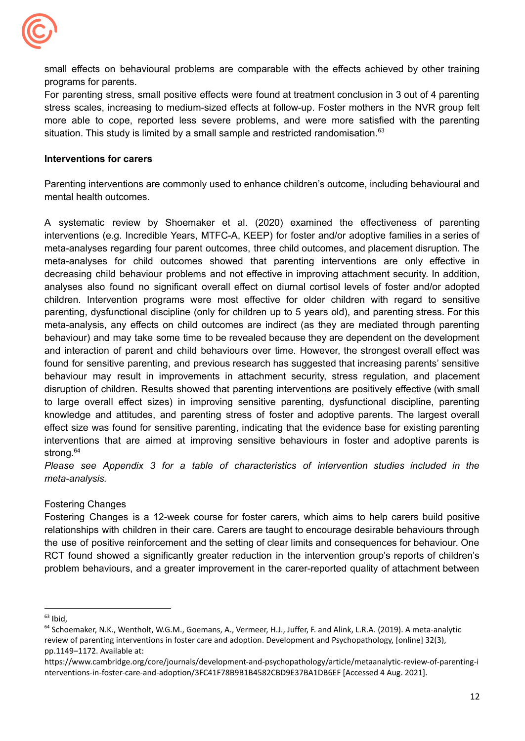

 programs for parents. small effects on behavioural problems are comparable with the effects achieved by other training

situation. This study is limited by a small sample and restricted randomisation.<sup>63</sup> For parenting stress, small positive effects were found at treatment conclusion in 3 out of 4 parenting stress scales, increasing to medium-sized effects at follow-up. Foster mothers in the NVR group felt more able to cope, reported less severe problems, and were more satisfied with the parenting

# **Interventions for carers**

 mental health outcomes. Parenting interventions are commonly used to enhance children's outcome, including behavioural and

A systematic review by Shoemaker et al. (2020) examined the effectiveness of parenting interventions (e.g. Incredible Years, MTFC-A, KEEP) for foster and/or adoptive families in a series of meta-analyses regarding four parent outcomes, three child outcomes, and placement disruption. The meta-analyses for child outcomes showed that parenting interventions are only effective in decreasing child behaviour problems and not effective in improving attachment security. In addition, analyses also found no significant overall effect on diurnal cortisol levels of foster and/or adopted children. Intervention programs were most effective for older children with regard to sensitive parenting, dysfunctional discipline (only for children up to 5 years old), and parenting stress. For this meta-analysis, any effects on child outcomes are indirect (as they are mediated through parenting behaviour) and may take some time to be revealed because they are dependent on the development and interaction of parent and child behaviours over time. However, the strongest overall effect was found for sensitive parenting, and previous research has suggested that increasing parents' sensitive behaviour may result in improvements in attachment security, stress regulation, and placement disruption of children. Results showed that parenting interventions are positively effective (with small to large overall effect sizes) in improving sensitive parenting, dysfunctional discipline, parenting knowledge and attitudes, and parenting stress of foster and adoptive parents. The largest overall effect size was found for sensitive parenting, indicating that the evidence base for existing parenting interventions that are aimed at improving sensitive behaviours in foster and adoptive parents is strong.<sup>64</sup>

*Please see Appendix 3 for a table of characteristics of intervention studies included in the meta-analysis.*

# Fostering Changes

Fostering Changes is a 12-week course for foster carers, which aims to help carers build positive relationships with children in their care. Carers are taught to encourage desirable behaviours through the use of positive reinforcement and the setting of clear limits and consequences for behaviour. One RCT found showed a significantly greater reduction in the intervention group's reports of children's problem behaviours, and a greater improvement in the carer-reported quality of attachment between

 $63$  Ibid,

<sup>&</sup>lt;sup>64</sup> Schoemaker, N.K., Wentholt, W.G.M., Goemans, A., Vermeer, H.J., Juffer, F. and Alink, L.R.A. (2019). A meta-analytic review of parenting interventions in foster care and adoption. Development and Psychopathology, [online] 32(3), pp.1149–1172. Available at:

 nterventions-in-foster-care-and-adoption/3FC41F78B9B1B4582CBD9E37BA1DB6EF [Accessed 4 Aug. 2021]. <https://www.cambridge.org/core/journals/development-and-psychopathology/article/metaanalytic-review-of-parenting-i>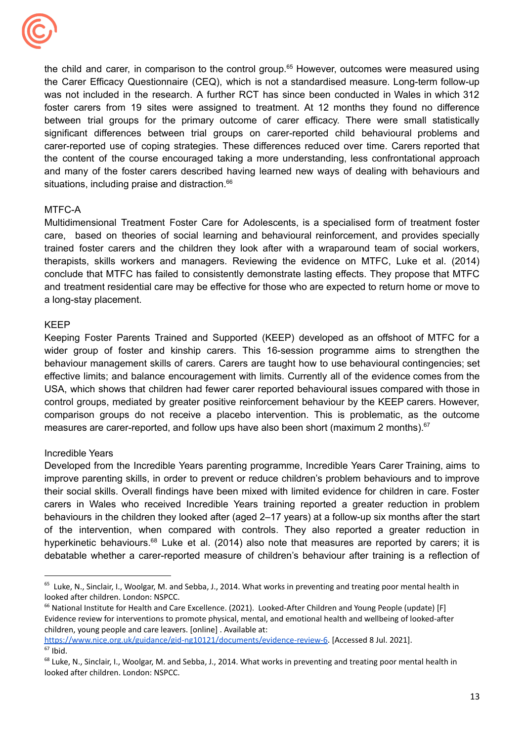

situations, including praise and distraction.<sup>66</sup> the child and carer, in comparison to the control group.<sup>65</sup> However, outcomes were measured using the Carer Efficacy Questionnaire (CEQ), which is not a standardised measure. Long-term follow-up was not included in the research. A further RCT has since been conducted in Wales in which 312 foster carers from 19 sites were assigned to treatment. At 12 months they found no difference between trial groups for the primary outcome of carer efficacy. There were small statistically significant differences between trial groups on carer-reported child behavioural problems and carer-reported use of coping strategies. These differences reduced over time. Carers reported that the content of the course encouraged taking a more understanding, less confrontational approach and many of the foster carers described having learned new ways of dealing with behaviours and

# MTFC-A

 a long-stay placement. Multidimensional Treatment Foster Care for Adolescents, is a specialised form of treatment foster care, based on theories of social learning and behavioural reinforcement, and provides specially trained foster carers and the children they look after with a wraparound team of social workers, therapists, skills workers and managers. Reviewing the evidence on MTFC, Luke et al. (2014) conclude that MTFC has failed to consistently demonstrate lasting effects. They propose that MTFC and treatment residential care may be effective for those who are expected to return home or move to

#### KEEP

measures are carer-reported, and follow ups have also been short (maximum 2 months). $67$ Keeping Foster Parents Trained and Supported (KEEP) developed as an offshoot of MTFC for a wider group of foster and kinship carers. This 16-session programme aims to strengthen the behaviour management skills of carers. Carers are taught how to use behavioural contingencies; set effective limits; and balance encouragement with limits. Currently all of the evidence comes from the USA, which shows that children had fewer carer reported behavioural issues compared with those in control groups, mediated by greater positive reinforcement behaviour by the KEEP carers. However, comparison groups do not receive a placebo intervention. This is problematic, as the outcome

# Incredible Years

Developed from the Incredible Years parenting programme, Incredible Years Carer Training, aims to improve parenting skills, in order to prevent or reduce children's problem behaviours and to improve their social skills. Overall findings have been mixed with limited evidence for children in care. Foster carers in Wales who received Incredible Years training reported a greater reduction in problem behaviours in the children they looked after (aged 2–17 years) at a follow-up six months after the start of the intervention, when compared with controls. They also reported a greater reduction in hyperkinetic behaviours.<sup>68</sup> Luke et al. (2014) also note that measures are reported by carers; it is debatable whether a carer-reported measure of children's behaviour after training is a reflection of

 [https://www.nice.org.uk/guidance/gid-ng10121/documents/evidence-review-6.](https://www.nice.org.uk/guidance/gid-ng10121/documents/evidence-review-6) [Accessed 8 Jul. 2021].  $67$  Ibid.

<sup>&</sup>lt;sup>65</sup> Luke, N., Sinclair, I., Woolgar, M. and Sebba, J., 2014. What works in preventing and treating poor mental health in looked after children. London: NSPCC.

<sup>&</sup>lt;sup>66</sup> National Institute for Health and Care Excellence. (2021). Looked-After Children and Young People (update) [F] Evidence review for interventions to promote physical, mental, and emotional health and wellbeing of looked-after children, young people and care leavers. [online] . Available at:

<sup>&</sup>lt;sup>68</sup> Luke, N., Sinclair, I., Woolgar, M. and Sebba, J., 2014. What works in preventing and treating poor mental health in looked after children. London: NSPCC.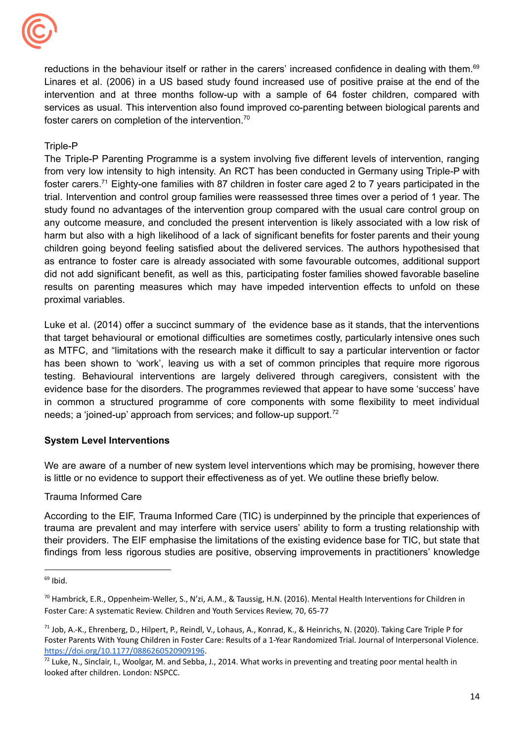

foster carers on completion of the intervention.<sup>70</sup> reductions in the behaviour itself or rather in the carers' increased confidence in dealing with them.<sup>69</sup> Linares et al. (2006) in a US based study found increased use of positive praise at the end of the intervention and at three months follow-up with a sample of 64 foster children, compared with services as usual. This intervention also found improved co-parenting between biological parents and

# Triple-P

The Triple-P Parenting Programme is a system involving five different levels of intervention, ranging from very low intensity to high intensity. An RCT has been conducted in Germany using Triple-P with foster [carers.71](https://carers.71) Eighty-one families with 87 children in foster care aged 2 to 7 years participated in the trial. Intervention and control group families were reassessed three times over a period of 1 year. The study found no advantages of the intervention group compared with the usual care control group on any outcome measure, and concluded the present intervention is likely associated with a low risk of harm but also with a high likelihood of a lack of significant benefits for foster parents and their young children going beyond feeling satisfied about the delivered services. The authors hypothesised that as entrance to foster care is already associated with some favourable outcomes, additional support did not add significant benefit, as well as this, participating foster families showed favorable baseline results on parenting measures which may have impeded intervention effects to unfold on these proximal variables.

needs; a 'joined-up' approach from services; and follow-up support.<sup>72</sup> Luke et al. (2014) offer a succinct summary of the evidence base as it stands, that the interventions that target behavioural or emotional difficulties are sometimes costly, particularly intensive ones such as MTFC, and "limitations with the research make it difficult to say a particular intervention or factor has been shown to 'work', leaving us with a set of common principles that require more rigorous testing. Behavioural interventions are largely delivered through caregivers, consistent with the evidence base for the disorders. The programmes reviewed that appear to have some 'success' have in common a structured programme of core components with some flexibility to meet individual

# **System Level Interventions**

 is little or no evidence to support their effectiveness as of yet. We outline these briefly below. We are aware of a number of new system level interventions which may be promising, however there

# Trauma Informed Care

According to the EIF, Trauma Informed Care (TIC) is underpinned by the principle that experiences of trauma are prevalent and may interfere with service users' ability to form a trusting relationship with their providers. The EIF emphasise the limitations of the existing evidence base for TIC, but state that findings from less rigorous studies are positive, observing improvements in practitioners' knowledge

 $69$  Ibid.

 $^{70}$  Hambrick, E.R., Oppenheim-Weller, S., N'zi, A.M., & Taussig, H.N. (2016). Mental Health Interventions for Children in Foster Care: A systematic Review. Children and Youth Services Review, 70, 65-77

<sup>&</sup>lt;sup>71</sup> Job, A.-K., Ehrenberg, D., Hilpert, P., Reindl, V., Lohaus, A., Konrad, K., & Heinrichs, N. (2020). Taking Care Triple P for Foster Parents With Young Children in Foster Care: Results of a 1-Year Randomized Trial. Journal of Interpersonal Violence. <https://doi.org/10.1177/0886260520909196>.

 $^{72}$  Luke, N., Sinclair, I., Woolgar, M. and Sebba, J., 2014. What works in preventing and treating poor mental health in looked after children. London: NSPCC.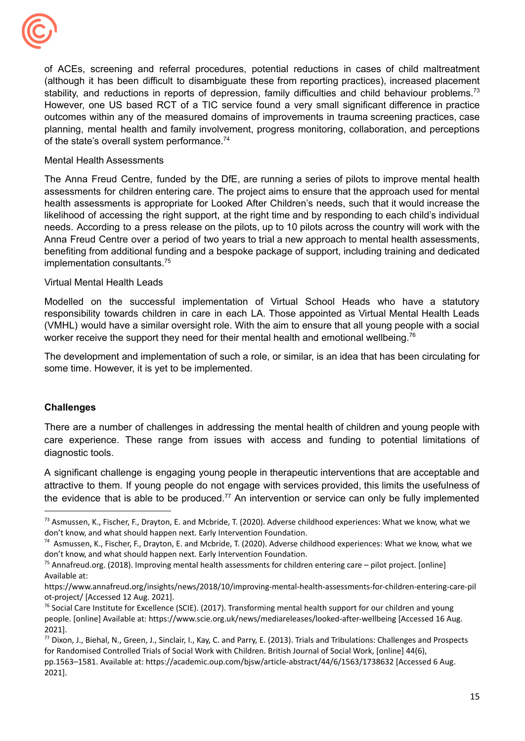

of the state's overall system performance.<sup>74</sup> of ACEs, screening and referral procedures, potential reductions in cases of child maltreatment (although it has been difficult to disambiguate these from reporting practices), increased placement stability, and reductions in reports of depression, family difficulties and child behaviour problems.<sup>73</sup> However, one US based RCT of a TIC service found a very small significant difference in practice outcomes within any of the measured domains of improvements in trauma screening practices, case planning, mental health and family involvement, progress monitoring, collaboration, and perceptions

#### Mental Health Assessments

The Anna Freud Centre, funded by the DfE, are running a series of pilots to improve mental health assessments for children entering care. The project aims to ensure that the approach used for mental health assessments is appropriate for Looked After Children's needs, such that it would increase the likelihood of accessing the right support, at the right time and by responding to each child's individual needs. According to a press release on the pilots, up to 10 pilots across the country will work with the Anna Freud Centre over a period of two years to trial a new approach to mental health assessments, benefiting from additional funding and a bespoke package of support, including training and dedicated implementation [consultants.75](https://consultants.75)

#### Virtual Mental Health Leads

worker receive the support they need for their mental health and emotional wellbeing.<sup>76</sup> Modelled on the successful implementation of Virtual School Heads who have a statutory responsibility towards children in care in each LA. Those appointed as Virtual Mental Health Leads (VMHL) would have a similar oversight role. With the aim to ensure that all young people with a social

 some time. However, it is yet to be implemented. The development and implementation of such a role, or similar, is an idea that has been circulating for

# **Challenges**

There are a number of challenges in addressing the mental health of children and young people with care experience. These range from issues with access and funding to potential limitations of diagnostic tools.

A significant challenge is engaging young people in therapeutic interventions that are acceptable and attractive to them. If young people do not engage with services provided, this limits the usefulness of the evidence that is able to be produced.<sup>77</sup> An intervention or service can only be fully implemented

<sup>&</sup>lt;sup>73</sup> Asmussen, K., Fischer, F., Drayton, E. and Mcbride, T. (2020). Adverse childhood experiences: What we know, what we don't know, and what should happen next. Early Intervention Foundation.

 $^{74}$  Asmussen, K., Fischer, F., Drayton, E. and Mcbride, T. (2020). Adverse childhood experiences: What we know, what we don't know, and what should happen next. Early Intervention Foundation.

<sup>&</sup>lt;sup>75</sup> [Annafreud.org](https://Annafreud.org). (2018). Improving mental health assessments for children entering care – pilot project. [online] Available at:

 ot-project/ [Accessed 12 Aug. 2021]. <https://www.annafreud.org/insights/news/2018/10/improving-mental-health-assessments-for-children-entering-care-pil>

 $^{76}$  Social Care Institute for Excellence (SCIE). (2017). Transforming mental health support for our children and young people. [online] Available at: <https://www.scie.org.uk/news/mediareleases/looked-after-wellbeing> [Accessed 16 Aug. 2021].

<sup>&</sup>lt;sup>77</sup> Dixon, J., Biehal, N., Green, J., Sinclair, I., Kay, C. and Parry, E. (2013). Trials and Tribulations: Challenges and Prospects for Randomised Controlled Trials of Social Work with Children. British Journal of Social Work, [online] 44(6),

 pp.1563–1581. Available at: <https://academic.oup.com/bjsw/article-abstract/44/6/1563/1738632> [Accessed 6 Aug. 2021].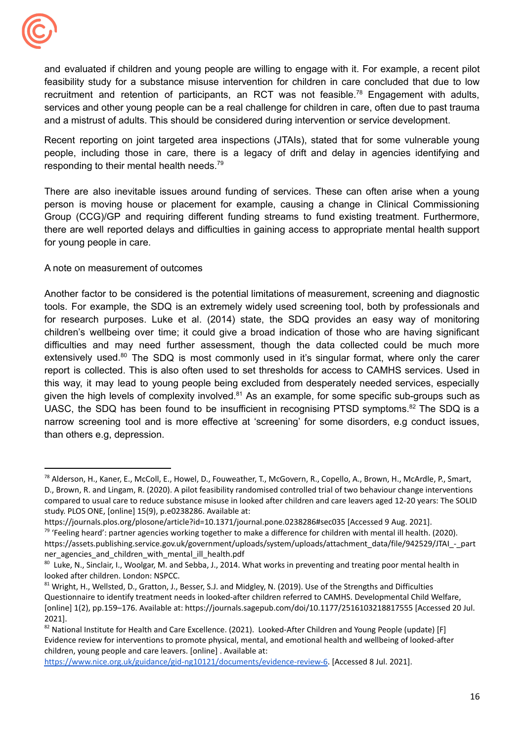

 and a mistrust of adults. This should be considered during intervention or service development. and evaluated if children and young people are willing to engage with it. For example, a recent pilot feasibility study for a substance misuse intervention for children in care concluded that due to low recruitment and retention of participants, an RCT was not feasible.<sup>78</sup> Engagement with adults, services and other young people can be a real challenge for children in care, often due to past trauma

responding to their mental health needs.<sup>79</sup> Recent reporting on joint targeted area inspections (JTAIs), stated that for some vulnerable young people, including those in care, there is a legacy of drift and delay in agencies identifying and

 for young people in care. There are also inevitable issues around funding of services. These can often arise when a young person is moving house or placement for example, causing a change in Clinical Commissioning Group (CCG)/GP and requiring different funding streams to fund existing treatment. Furthermore, there are well reported delays and difficulties in gaining access to appropriate mental health support

# A note on measurement of outcomes

 than others e.g, depression. Another factor to be considered is the potential limitations of measurement, screening and diagnostic tools. For example, the SDQ is an extremely widely used screening tool, both by professionals and for research purposes. Luke et al. (2014) state, the SDQ provides an easy way of monitoring children's wellbeing over time; it could give a broad indication of those who are having significant difficulties and may need further assessment, though the data collected could be much more extensively used.<sup>80</sup> The SDQ is most commonly used in it's singular format, where only the carer report is collected. This is also often used to set thresholds for access to CAMHS services. Used in this way, it may lead to young people being excluded from desperately needed services, especially given the high levels of complexity involved. $81$  As an example, for some specific sub-groups such as UASC, the SDQ has been found to be insufficient in recognising PTSD symptoms.<sup>82</sup> The SDQ is a narrow screening tool and is more effective at 'screening' for some disorders, e.g conduct issues,

<sup>&</sup>lt;sup>78</sup> Alderson, H., Kaner, E., McColl, E., Howel, D., Fouweather, T., McGovern, R., Copello, A., Brown, H., McArdle, P., Smart, D., Brown, R. and Lingam, R. (2020). A pilot feasibility randomised controlled trial of two behaviour change interventions compared to usual care to reduce substance misuse in looked after children and care leavers aged 12-20 years: The SOLID study. PLOS ONE, [online] 15(9), p.e0238286. Available at:

<sup>&</sup>lt;sup>79</sup> 'Feeling heard': partner agencies working together to make a difference for children with mental ill health. (2020). <https://journals.plos.org/plosone/article?id=10.1371/journal.pone.0238286#sec035> [Accessed 9 Aug. 2021]. [https://assets.publishing.service.gov.uk/government/uploads/system/uploads/attachment\\_data/file/942529/JTAI\\_-\\_part](https://assets.publishing.service.gov.uk/government/uploads/system/uploads/attachment_data/file/942529/JTAI_-_part) ner agencies and children with mental ill health.pdf

<sup>&</sup>lt;sup>80</sup> Luke, N., Sinclair, I., Woolgar, M. and Sebba, J., 2014. What works in preventing and treating poor mental health in looked after children. London: NSPCC.

<sup>81</sup> Wright, H., Wellsted, D., Gratton, J., Besser, S.J. and Midgley, N. (2019). Use of the Strengths and Difficulties Questionnaire to identify treatment needs in looked-after children referred to CAMHS. Developmental Child Welfare, [online] 1(2), pp.159–176. Available at: <https://journals.sagepub.com/doi/10.1177/2516103218817555> [Accessed 20 Jul. 2021].

 $82$  National Institute for Health and Care Excellence. (2021). Looked-After Children and Young People (update) [F] Evidence review for interventions to promote physical, mental, and emotional health and wellbeing of looked-after children, young people and care leavers. [online] . Available at:

 [https://www.nice.org.uk/guidance/gid-ng10121/documents/evidence-review-6.](https://www.nice.org.uk/guidance/gid-ng10121/documents/evidence-review-6) [Accessed 8 Jul. 2021].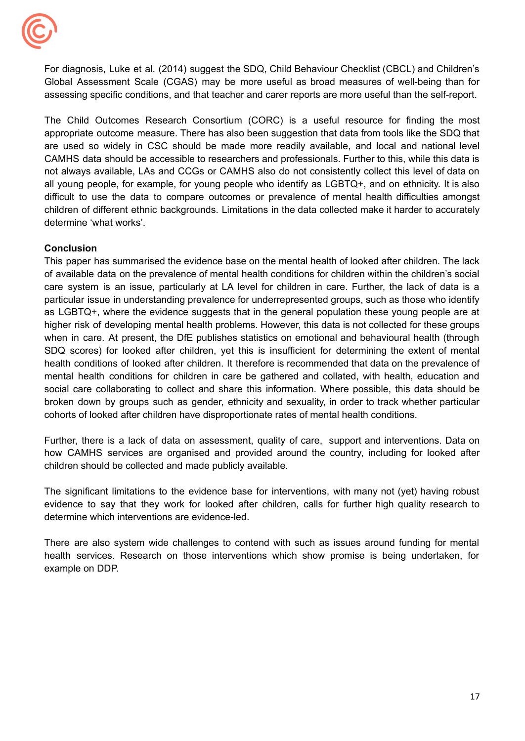

 assessing specific conditions, and that teacher and carer reports are more useful than the self-report. For diagnosis, Luke et al. (2014) suggest the SDQ, Child Behaviour Checklist (CBCL) and Children's Global Assessment Scale (CGAS) may be more useful as broad measures of well-being than for

 determine 'what works'. The Child Outcomes Research Consortium (CORC) is a useful resource for finding the most appropriate outcome measure. There has also been suggestion that data from tools like the SDQ that are used so widely in CSC should be made more readily available, and local and national level CAMHS data should be accessible to researchers and professionals. Further to this, while this data is not always available, LAs and CCGs or CAMHS also do not consistently collect this level of data on all young people, for example, for young people who identify as LGBTQ+, and on ethnicity. It is also difficult to use the data to compare outcomes or prevalence of mental health difficulties amongst children of different ethnic backgrounds. Limitations in the data collected make it harder to accurately

# **Conclusion**

 cohorts of looked after children have disproportionate rates of mental health conditions. This paper has summarised the evidence base on the mental health of looked after children. The lack of available data on the prevalence of mental health conditions for children within the children's social care system is an issue, particularly at LA level for children in care. Further, the lack of data is a particular issue in understanding prevalence for underrepresented groups, such as those who identify as LGBTQ+, where the evidence suggests that in the general population these young people are at higher risk of developing mental health problems. However, this data is not collected for these groups when in care. At present, the DfE publishes statistics on emotional and behavioural health (through SDQ scores) for looked after children, yet this is insufficient for determining the extent of mental health conditions of looked after children. It therefore is recommended that data on the prevalence of mental health conditions for children in care be gathered and collated, with health, education and social care collaborating to collect and share this information. Where possible, this data should be broken down by groups such as gender, ethnicity and sexuality, in order to track whether particular

 children should be collected and made publicly available. Further, there is a lack of data on assessment, quality of care, support and interventions. Data on how CAMHS services are organised and provided around the country, including for looked after

 determine which interventions are evidence-led. The significant limitations to the evidence base for interventions, with many not (yet) having robust evidence to say that they work for looked after children, calls for further high quality research to

 example on DDP. There are also system wide challenges to contend with such as issues around funding for mental health services. Research on those interventions which show promise is being undertaken, for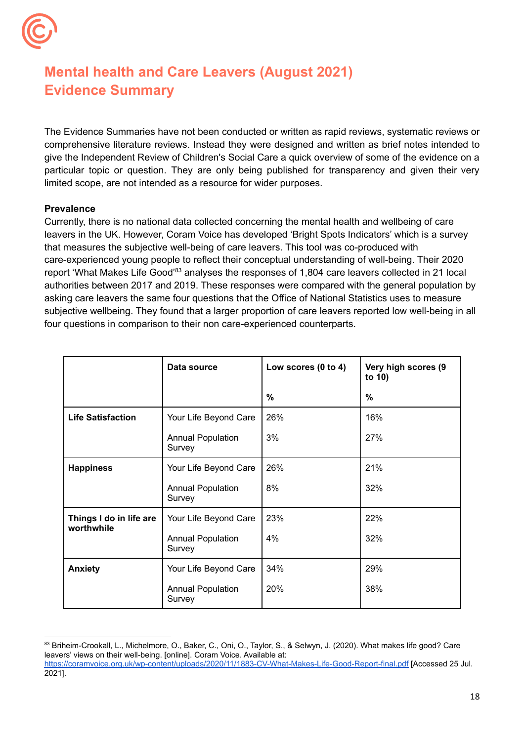

# **Mental health and Care Leavers (August 2021) Evidence Summary**

 limited scope, are not intended as a resource for wider purposes. The Evidence Summaries have not been conducted or written as rapid reviews, systematic reviews or comprehensive literature reviews. Instead they were designed and written as brief notes intended to give the Independent Review of Children's Social Care a quick overview of some of the evidence on a particular topic or question. They are only being published for transparency and given their very

# **Prevalence**

 Currently, there is no national data collected concerning the mental health and wellbeing of care leavers in the UK. However, Coram Voice has developed 'Bright Spots Indicators' which is a survey that measures the subjective well-being of care leavers. This tool was co-produced with care-experienced young people to reflect their conceptual understanding of well-being. Their 2020 report 'What Makes Life Good'<sup>83</sup> analyses the responses of 1,804 care leavers collected in 21 local authorities between 2017 and 2019. These responses were compared with the general population by asking care leavers the same four questions that the Office of National Statistics uses to measure subjective wellbeing. They found that a larger proportion of care leavers reported low well-being in all four questions in comparison to their non care-experienced counterparts.

|                                       | Data source                        | Low scores (0 to 4) | Very high scores (9<br>to 10) |
|---------------------------------------|------------------------------------|---------------------|-------------------------------|
|                                       |                                    | $\%$                | $\%$                          |
| <b>Life Satisfaction</b>              | Your Life Beyond Care              | 26%                 | 16%                           |
|                                       | <b>Annual Population</b><br>Survey | 3%                  | 27%                           |
| <b>Happiness</b>                      | Your Life Beyond Care              | 26%                 | 21%                           |
|                                       | <b>Annual Population</b><br>Survey | 8%                  | 32%                           |
| Things I do in life are<br>worthwhile | Your Life Beyond Care              | 23%                 | 22%                           |
|                                       | <b>Annual Population</b><br>Survey | 4%                  | 32%                           |
| <b>Anxiety</b>                        | Your Life Beyond Care              | 34%                 | 29%                           |
|                                       | <b>Annual Population</b><br>Survey | 20%                 | 38%                           |

<sup>83</sup> Briheim-Crookall, L., Michelmore, O., Baker, C., Oni, O., Taylor, S., & Selwyn, J. (2020). What makes life good? Care leavers' views on their well-being. [online]. Coram Voice. Available at: <https://coramvoice.org.uk/wp-content/uploads/2020/11/1883-CV-What-Makes-Life-Good-Report-final.pdf> [Accessed 25 Jul.

<sup>2021].</sup>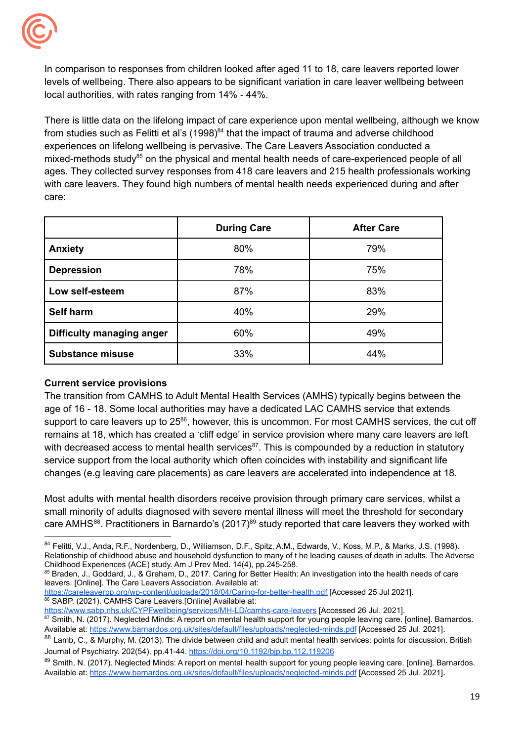

 In comparison to responses from children looked after aged 11 to 18, care leavers reported lower levels of wellbeing. There also appears to be significant variation in care leaver wellbeing between local authorities, with rates ranging from 14% - 44%.

 There is little data on the lifelong impact of care experience upon mental wellbeing, although we know from studies such as Felitti et al's (1998) $^{84}$  that the impact of trauma and adverse childhood experiences on lifelong wellbeing is pervasive. The Care Leavers Association conducted a mixed-methods study<sup>85</sup> on the physical and mental health needs of care-experienced people of all ages. They collected survey responses from 418 care leavers and 215 health professionals working with care leavers. They found high numbers of mental health needs experienced during and after care:

|                           | <b>During Care</b> | <b>After Care</b> |
|---------------------------|--------------------|-------------------|
| <b>Anxiety</b>            | 80%                | 79%               |
| <b>Depression</b>         | 78%                | 75%               |
| Low self-esteem           | 87%                | 83%               |
| Self harm                 | 40%                | 29%               |
| Difficulty managing anger | 60%                | 49%               |
| <b>Substance misuse</b>   | 33%                | 44%               |

# **Current service provisions**

 The transition from CAMHS to Adult Mental Health Services (AMHS) typically begins between the age of 16 - 18. Some local authorities may have a dedicated LAC CAMHS service that extends support to care leavers up to 25<sup>86</sup>, however, this is uncommon. For most CAMHS services, the cut off remains at 18, which has created a 'cliff edge' in service provision where many care leavers are left with decreased access to mental health services<sup>87</sup>. This is compounded by a reduction in statutory service support from the local authority which often coincides with instability and significant life changes (e.g leaving care placements) as care leavers are accelerated into independence at 18.

 Most adults with mental health disorders receive provision through primary care services, whilst a small minority of adults diagnosed with severe mental illness will meet the threshold for secondary care AMHS<sup>88</sup>. Practitioners in Barnardo's (2017)<sup>89</sup> study reported that care leavers they worked with

85 Braden, J., Goddard, J., & Graham, D., 2017. Caring for Better Health: An investigation into the health needs of care leavers. [Online]. The Care Leavers Association. Available at:

<sup>84</sup> Felitti, V.J., Anda, R.F., Nordenberg, D., Williamson, D.F., Spitz, A.M., Edwards, V., Koss, M.P., & Marks, J.S. (1998). Relationship of childhood abuse and household dysfunction to many of t he leading causes of death in adults. The Adverse Childhood Experiences (ACE) study. Am J Prev Med. 14(4), pp.245-258.

<https://careleaverpp.org/wp-content/uploads/2018/04/Caring-for-better-health.pdf> [Accessed 25 Jul 2021]. 86 SABP. (2021). CAMHS Care Leavers. [Online] Available at:

<https://www.sabp.nhs.uk/CYPFwellbeing/services/MH-LD/camhs-care-leavers> [Accessed 26 Jul. 2021].

Smith, N. (2017). Neglected Minds: A report on mental health support for young people leaving care. [online]. Barnardos. Available at: <https://www.barnardos.org.uk/sites/default/files/uploads/neglected-minds.pdf> [Accessed 25 Jul. 2021].

<sup>88</sup> Lamb, C., & Murphy, M. (2013). The divide between child and adult mental health services: points for discussion. British Journal of Psychiatry. 202(54), pp.41-44. <https://doi.org/10.1192/bjp.bp.112.119206>

<sup>89</sup> Smith, N. (2017). Neglected Minds: A report on mental health support for young people leaving care. [online]. Barnardos. Available at: <https://www.barnardos.org.uk/sites/default/files/uploads/neglected-minds.pdf> [Accessed 25 Jul. 2021].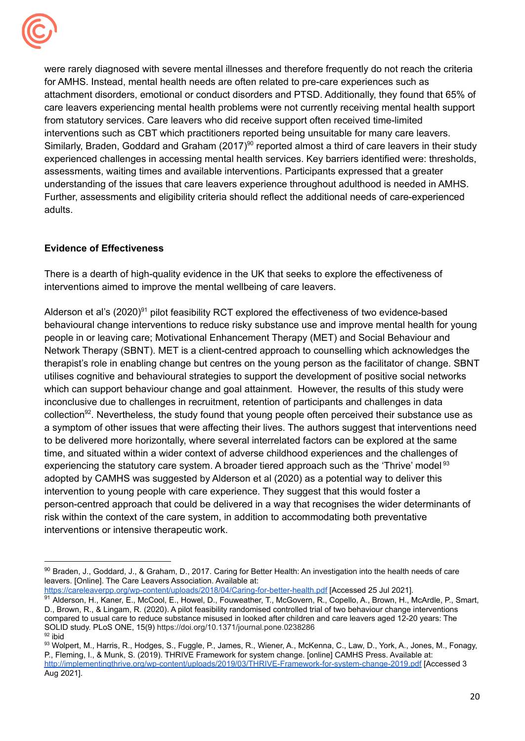

 were rarely diagnosed with severe mental illnesses and therefore frequently do not reach the criteria for AMHS. Instead, mental health needs are often related to pre-care experiences such as attachment disorders, emotional or conduct disorders and PTSD. Additionally, they found that 65% of care leavers experiencing mental health problems were not currently receiving mental health support from statutory services. Care leavers who did receive support often received time-limited interventions such as CBT which practitioners reported being unsuitable for many care leavers. Similarly, Braden, Goddard and Graham (2017)<sup>90</sup> reported almost a third of care leavers in their study experienced challenges in accessing mental health services. Key barriers identified were: thresholds, assessments, waiting times and available interventions. Participants expressed that a greater understanding of the issues that care leavers experience throughout adulthood is needed in AMHS. Further, assessments and eligibility criteria should reflect the additional needs of care-experienced adults.

# **Evidence of Effectiveness**

 There is a dearth of high-quality evidence in the UK that seeks to explore the effectiveness of interventions aimed to improve the mental wellbeing of care leavers.

Alderson et al's (2020)<sup>91</sup> pilot feasibility RCT explored the effectiveness of two evidence-based behavioural change interventions to reduce risky substance use and improve mental health for young people in or leaving care; Motivational Enhancement Therapy (MET) and Social Behaviour and Network Therapy (SBNT). MET is a client-centred approach to counselling which acknowledges the therapist's role in enabling change but centres on the young person as the facilitator of change. SBNT utilises cognitive and behavioural strategies to support the development of positive social networks which can support behaviour change and goal attainment. However, the results of this study were inconclusive due to challenges in recruitment, retention of participants and challenges in data collection<sup>92</sup>. Nevertheless, the study found that young people often perceived their substance use as a symptom of other issues that were affecting their lives. The authors suggest that interventions need to be delivered more horizontally, where several interrelated factors can be explored at the same time, and situated within a wider context of adverse childhood experiences and the challenges of experiencing the statutory care system. A broader tiered approach such as the 'Thrive' model<sup>93</sup> adopted by CAMHS was suggested by Alderson et al (2020) as a potential way to deliver this intervention to young people with care experience. They suggest that this would foster a person-centred approach that could be delivered in a way that recognises the wider determinants of risk within the context of the care system, in addition to accommodating both preventative interventions or intensive therapeutic work.

<https://careleaverpp.org/wp-content/uploads/2018/04/Caring-for-better-health.pdf> [Accessed 25 Jul 2021].

<sup>90</sup> Braden, J., Goddard, J., & Graham, D., 2017. Caring for Better Health: An investigation into the health needs of care leavers. [Online]. The Care Leavers Association. Available at:

<sup>91</sup> Alderson, H., Kaner, E., McCool, E., Howel, D., Fouweather, T., McGovern, R., Copello, A., Brown, H., McArdle, P., Smart, D., Brown, R., & Lingam, R. (2020). A pilot feasibility randomised controlled trial of two behaviour change interventions compared to usual care to reduce substance misused in looked after children and care leavers aged 12-20 years: The SOLID study. PLoS ONE, 15(9) <https://doi.org/10.1371/journal.pone.0238286>  $92$  ibid

<sup>93</sup> Wolpert, M., Harris, R., Hodges, S., Fuggle, P., James, R., Wiener, A., McKenna, C., Law, D., York, A., Jones, M., Fonagy, P., Fleming, I., & Munk, S. (2019). THRIVE Framework for system change. [online] CAMHS Press. Available at: <http://implementingthrive.org/wp-content/uploads/2019/03/THRIVE-Framework-for-system-change-2019.pdf> [Accessed 3 Aug 2021].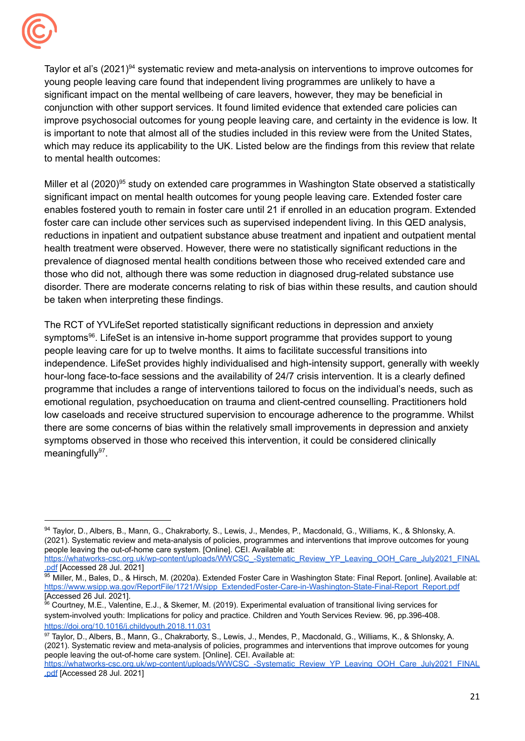

Taylor et al's (2021)<sup>94</sup> systematic review and meta-analysis on interventions to improve outcomes for young people leaving care found that independent living programmes are unlikely to have a significant impact on the mental wellbeing of care leavers, however, they may be beneficial in conjunction with other support services. It found limited evidence that extended care policies can improve psychosocial outcomes for young people leaving care, and certainty in the evidence is low. It is important to note that almost all of the studies included in this review were from the United States, which may reduce its applicability to the UK. Listed below are the findings from this review that relate to mental health outcomes:

Miller et al (2020)<sup>95</sup> study on extended care programmes in Washington State observed a statistically significant impact on mental health outcomes for young people leaving care. Extended foster care enables fostered youth to remain in foster care until 21 if enrolled in an education program. Extended foster care can include other services such as supervised independent living. In this QED analysis, reductions in inpatient and outpatient substance abuse treatment and inpatient and outpatient mental health treatment were observed. However, there were no statistically significant reductions in the prevalence of diagnosed mental health conditions between those who received extended care and those who did not, although there was some reduction in diagnosed drug-related substance use disorder. There are moderate concerns relating to risk of bias within these results, and caution should be taken when interpreting these findings.

 The RCT of YVLifeSet reported statistically significant reductions in depression and anxiety symptoms<sup>96</sup>. LifeSet is an intensive in-home support programme that provides support to young people leaving care for up to twelve months. It aims to facilitate successful transitions into independence. LifeSet provides highly individualised and high-intensity support, generally with weekly hour-long face-to-face sessions and the availability of 24/7 crisis intervention. It is a clearly defined programme that includes a range of interventions tailored to focus on the individual's needs, such as emotional regulation, psychoeducation on trauma and client-centred counselling. Practitioners hold low caseloads and receive structured supervision to encourage adherence to the programme. Whilst there are some concerns of bias within the relatively small improvements in depression and anxiety symptoms observed in those who received this intervention, it could be considered clinically meaningfull $v^{97}$ .

<sup>94</sup> Taylor, D., Albers, B., Mann, G., Chakraborty, S., Lewis, J., Mendes, P., Macdonald, G., Williams, K., & Shlonsky, A. (2021). Systematic review and meta-analysis of policies, programmes and interventions that improve outcomes for young people leaving the out-of-home care system. [Online]. CEI. Available at:

[https://whatworks-csc.org.uk/wp-content/uploads/WWCSC\\_-Systematic\\_Review\\_YP\\_Leaving\\_OOH\\_Care\\_July2021\\_FINAL](https://whatworks-csc.org.uk/wp-content/uploads/WWCSC_-Systematic_Review_YP_Leaving_OOH_Care_July2021_FINAL.pdf) [.pdf](https://whatworks-csc.org.uk/wp-content/uploads/WWCSC_-Systematic_Review_YP_Leaving_OOH_Care_July2021_FINAL.pdf) [Accessed 28 Jul. 2021]

<sup>&</sup>lt;sup>95</sup> Miller, M., Bales, D., & Hirsch, M. (2020a). Extended Foster Care in Washington State: Final Report. [online]. Available at: [https://www.wsipp.wa.gov/ReportFile/1721/Wsipp\\_ExtendedFoster-Care-in-Washington-State-Final-Report\\_Report.pdf](https://www.wsipp.wa.gov/ReportFile/1721/Wsipp_ExtendedFoster-Care-in-Washington-State-Final-Report_Report.pdf) [Accessed 26 Jul. 2021].

<sup>96</sup> Courtney, M.E., Valentine, E.J., & Skemer, M. (2019). Experimental evaluation of transitional living services for system-involved youth: Implications for policy and practice. Children and Youth Services Review. 96, pp.396-408. <https://doi.org/10.1016/j.childyouth.2018.11.031>

<sup>97</sup> Taylor, D., Albers, B., Mann, G., Chakraborty, S., Lewis, J., Mendes, P., Macdonald, G., Williams, K., & Shlonsky, A. (2021). Systematic review and meta-analysis of policies, programmes and interventions that improve outcomes for young people leaving the out-of-home care system. [Online]. CEI. Available at:

[https://whatworks-csc.org.uk/wp-content/uploads/WWCSC\\_-Systematic\\_Review\\_YP\\_Leaving\\_OOH\\_Care\\_July2021\\_FINAL](https://whatworks-csc.org.uk/wp-content/uploads/WWCSC_-Systematic_Review_YP_Leaving_OOH_Care_July2021_FINAL.pdf) [.pdf](https://whatworks-csc.org.uk/wp-content/uploads/WWCSC_-Systematic_Review_YP_Leaving_OOH_Care_July2021_FINAL.pdf) [Accessed 28 Jul. 2021]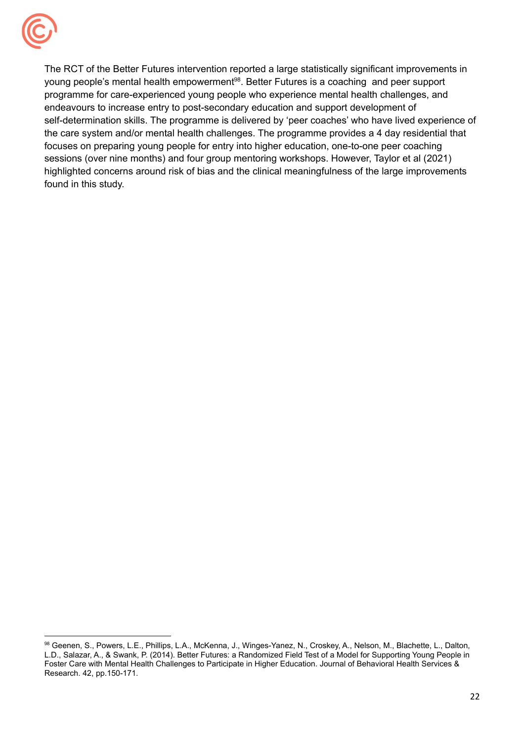

 The RCT of the Better Futures intervention reported a large statistically significant improvements in young people's mental health empowerment<sup>98</sup>. Better Futures is a coaching and peer support programme for care-experienced young people who experience mental health challenges, and endeavours to increase entry to post-secondary education and support development of self-determination skills. The programme is delivered by 'peer coaches' who have lived experience of the care system and/or mental health challenges. The programme provides a 4 day residential that focuses on preparing young people for entry into higher education, one-to-one peer coaching sessions (over nine months) and four group mentoring workshops. However, Taylor et al (2021) highlighted concerns around risk of bias and the clinical meaningfulness of the large improvements found in this study.

<sup>98</sup> Geenen, S., Powers, L.E., Phillips, L.A., McKenna, J., Winges-Yanez, N., Croskey, A., Nelson, M., Blachette, L., Dalton, L.D., Salazar, A., & Swank, P. (2014). Better Futures: a Randomized Field Test of a Model for Supporting Young People in Foster Care with Mental Health Challenges to Participate in Higher Education. Journal of Behavioral Health Services & Research. 42, pp.150-171.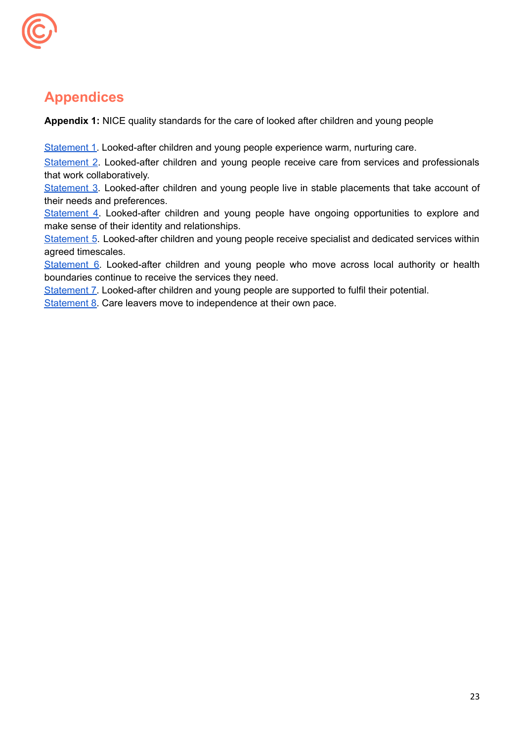

# **Appendices**

**Appendix 1:** NICE quality standards for the care of looked after children and young people

[Statement](http://www.nice.org.uk/guidance/qs31/chapter/quality-statement-1-warm-nurturing-care) 1. Looked-after children and young people experience warm, nurturing care.

 that work collaboratively. [Statement](http://www.nice.org.uk/guidance/qs31/chapter/quality-statement-2-collaborative-working-between-services-and-professionals) 2. Looked-after children and young people receive care from services and professionals

 their needs and preferences. [Statement](http://www.nice.org.uk/guidance/qs31/chapter/quality-statement-3-stability-and-quality-of-placements) 3. Looked-after children and young people live in stable placements that take account of

 make sense of their identity and relationships. [Statement](http://www.nice.org.uk/guidance/qs31/chapter/quality-statement-4-support-to-explore-and-make-sense-of-identity-and-relationships) 4. Looked-after children and young people have ongoing opportunities to explore and

[Statement](http://www.nice.org.uk/guidance/qs31/chapter/quality-statement-5-support-from-specialist-and-dedicated-services) 5. Looked-after children and young people receive specialist and dedicated services within agreed timescales.

 boundaries continue to receive the services they need. [Statement](http://www.nice.org.uk/guidance/qs31/chapter/quality-statement-6-continuity-of-services-for-placements-outside-the-local-authority-or-health) 6. Looked-after children and young people who move across local authority or health

[Statement](http://www.nice.org.uk/guidance/qs31/chapter/quality-statement-7-support-to-fulfil-potential) 7. Looked-after children and young people are supported to fulfil their potential.

[Statement](http://www.nice.org.uk/guidance/qs31/chapter/quality-statement-8-support-to-move-to-independence) 8. Care leavers move to independence at their own pace.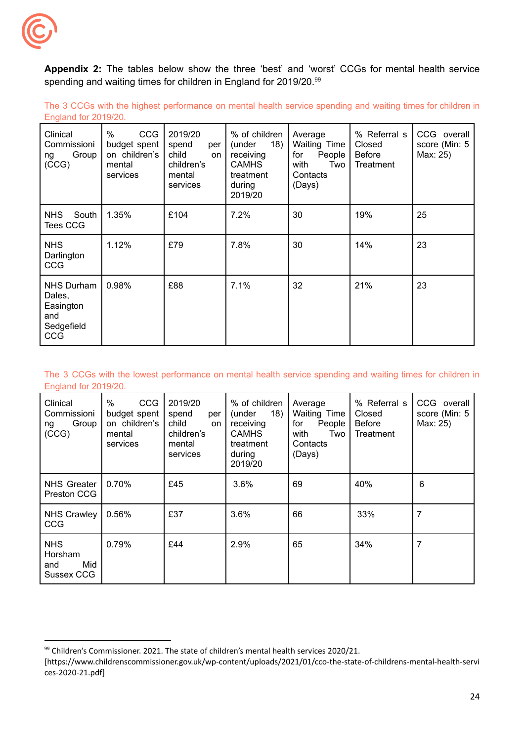

spending and waiting times for children in England for 2019/20.<sup>99</sup> **Appendix 2:** The tables below show the three 'best' and 'worst' CCGs for mental health service

 England for 2019/20. The 3 CCGs with the highest performance on mental health service spending and waiting times for children in

| Clinical<br>Commissioni<br>Group<br>ng<br>(CCG)                             | %<br>CCG<br>budget spent<br>on children's<br>mental<br>services | 2019/20<br>spend<br>per<br>child<br>on<br>children's<br>mental<br>services | % of children<br>18)<br>(under<br>receiving<br><b>CAMHS</b><br>treatment<br>during<br>2019/20 | Average<br><b>Waiting Time</b><br>People<br>for<br>with<br>Two<br>Contacts<br>(Days) | % Referral s<br>Closed<br><b>Before</b><br>Treatment | CCG overall<br>score (Min: 5<br>Max: 25) |
|-----------------------------------------------------------------------------|-----------------------------------------------------------------|----------------------------------------------------------------------------|-----------------------------------------------------------------------------------------------|--------------------------------------------------------------------------------------|------------------------------------------------------|------------------------------------------|
| South<br><b>NHS</b><br>Tees CCG                                             | 1.35%                                                           | £104                                                                       | 7.2%                                                                                          | 30                                                                                   | 19%                                                  | 25                                       |
| <b>NHS</b><br>Darlington<br><b>CCG</b>                                      | 1.12%                                                           | £79                                                                        | 7.8%                                                                                          | 30                                                                                   | 14%                                                  | 23                                       |
| <b>NHS Durham</b><br>Dales,<br>Easington<br>and<br>Sedgefield<br><b>CCG</b> | 0.98%                                                           | £88                                                                        | 7.1%                                                                                          | 32                                                                                   | 21%                                                  | 23                                       |

#### England for 2019/20. The 3 CCGs with the lowest performance on mental health service spending and waiting times for children in

| Clinical<br>Commissioni<br>Group<br>ng<br>(CCG)   | $\%$<br><b>CCG</b><br>budget spent<br>on children's<br>mental<br>services | 2019/20<br>spend<br>per<br>child<br>on<br>children's<br>mental<br>services | % of children<br>18)<br>(under<br>receiving<br><b>CAMHS</b><br>treatment<br>during<br>2019/20 | Average<br><b>Waiting Time</b><br>for<br>People<br>with<br>Two<br>Contacts<br>(Days) | % Referral s<br>Closed<br><b>Before</b><br>Treatment | CCG overall<br>score (Min: 5<br>Max: 25) |
|---------------------------------------------------|---------------------------------------------------------------------------|----------------------------------------------------------------------------|-----------------------------------------------------------------------------------------------|--------------------------------------------------------------------------------------|------------------------------------------------------|------------------------------------------|
| <b>NHS Greater</b><br>Preston CCG                 | 0.70%                                                                     | £45                                                                        | 3.6%                                                                                          | 69                                                                                   | 40%                                                  | 6                                        |
| <b>NHS Crawley</b><br>CCG                         | 0.56%                                                                     | £37                                                                        | 3.6%                                                                                          | 66                                                                                   | 33%                                                  | 7                                        |
| <b>NHS</b><br>Horsham<br>Mid<br>and<br>Sussex CCG | 0.79%                                                                     | £44                                                                        | 2.9%                                                                                          | 65                                                                                   | 34%                                                  | 7                                        |

 $99$  Children's Commissioner. 2021. The state of children's mental health services 2020/21.

<sup>[</sup><https://www.childrenscommissioner.gov.uk/wp-content/uploads/2021/01/cco-the-state-of-childrens-mental-health-servi> ces-2020-21.pdf]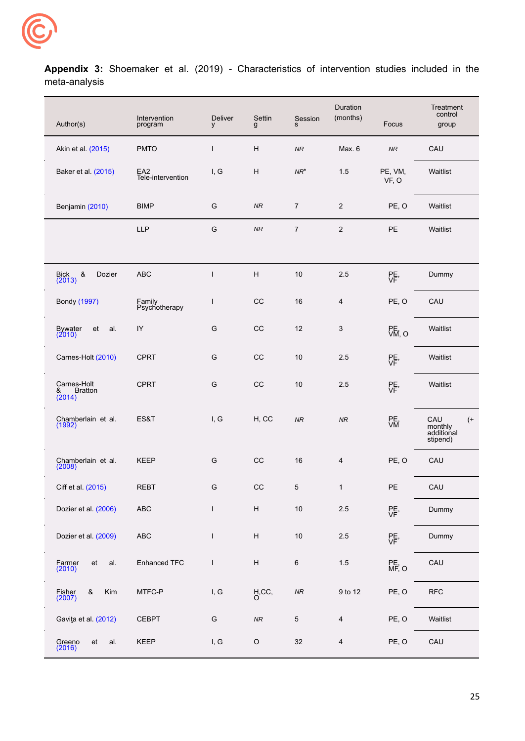

**Appendix 3:** Shoemaker et al. (2019) - Characteristics of intervention studies included in the meta-analysis

| Author(s)                                    | Intervention<br>program  | Deliver<br>y | Settin<br>g               | Session<br>s   | Duration<br>(months) | Focus            | Treatment<br>control<br>group                        |
|----------------------------------------------|--------------------------|--------------|---------------------------|----------------|----------------------|------------------|------------------------------------------------------|
| Akin et al. (2015)                           | <b>PMTO</b>              | $\mathsf{I}$ | H                         | NR             | Max. 6               | ${\it NR}$       | CAU                                                  |
| Baker et al. (2015)                          | EA2<br>Tele-intervention | I, G         | H                         | $NR^*$         | 1.5                  | PE, VM,<br>VF, O | Waitlist                                             |
| Benjamin (2010)                              | <b>BIMP</b>              | G            | <b>NR</b>                 | $\overline{7}$ | $\overline{2}$       | PE, O            | Waitlist                                             |
|                                              | <b>LLP</b>               | G            | NR                        | $\overline{7}$ | $\overline{2}$       | PE               | Waitlist                                             |
|                                              |                          |              |                           |                |                      |                  |                                                      |
| $\&$<br>Bick<br>(2013)<br>Dozier             | <b>ABC</b>               | $\mathbf{I}$ | H                         | 10             | 2.5                  | PE,              | Dummy                                                |
| Bondy (1997)                                 | Family<br>Psychotherapy  | I            | CC                        | 16             | 4                    | PE, O            | CAU                                                  |
| <b>Bywater</b><br>et<br>al.<br>(2010)        | IY                       | G            | CC                        | 12             | 3                    | PE,<br>VM, O     | Waitlist                                             |
| Carnes-Holt (2010)                           | <b>CPRT</b>              | G            | CC                        | 10             | 2.5                  | PE,              | Waitlist                                             |
| Carnes-Holt<br>&<br><b>Bratton</b><br>(2014) | <b>CPRT</b>              | G            | CC                        | 10             | 2.5                  | PE,              | Waitlist                                             |
| Chamberlain et al.<br>(1992)                 | ES&T                     | I, G         | H, CC                     | NR             | NR                   | PE,              | CAU<br>$^{(+)}$<br>monthly<br>additional<br>stipend) |
| Chamberlain et al.<br>(2008)                 | <b>KEEP</b>              | G            | $_{\rm CC}$               | 16             | $\overline{4}$       | PE, O            | CAU                                                  |
| Ciff et al. (2015)                           | REBT                     | G            | $_{\rm CC}$               | 5              | 1                    | PE               | CAU                                                  |
| Dozier et al. (2006)                         | ${\sf ABC}$              | $\mathbf{I}$ | $\boldsymbol{\mathsf{H}}$ | $10\,$         | $2.5\,$              | PE,              | Dummy                                                |
| Dozier et al. (2009)                         | ${\sf ABC}$              | $\mathbf{I}$ | $\boldsymbol{\mathsf{H}}$ | $10$           | $2.5\,$              | PE,              | Dummy                                                |
| Farmer<br>(2010)<br>al.<br>et                | Enhanced TFC             | $\mathsf{I}$ | $\boldsymbol{\mathsf{H}}$ | $\,6\,$        | 1.5                  | PE,<br>MF, O     | CAU                                                  |
| Kim<br>Fisher<br>&<br>(2007)                 | MTFC-P                   | I, G         | H, CC,                    | ${\it NR}$     | 9 to 12              | PE, O            | <b>RFC</b>                                           |
| Gaviţa et al. (2012)                         | <b>CEBPT</b>             | G            | ${\it NR}$                | $\mathbf 5$    | $\overline{4}$       | PE, O            | Waitlist                                             |
| Greeno<br>(2016)<br>et<br>al.                | KEEP                     | I, G         | $\mathsf O$               | $32\,$         | $\overline{4}$       | PE, O            | CAU                                                  |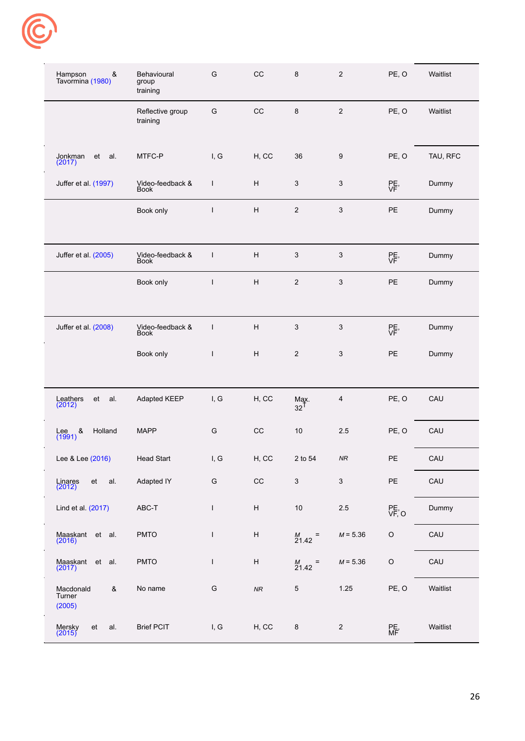

| Hampson<br>&<br>Tavormina (1980)   | Behavioural<br>group<br>training | G             | CC                        | $\bf 8$                   | $\overline{2}$            | PE, O     | Waitlist |
|------------------------------------|----------------------------------|---------------|---------------------------|---------------------------|---------------------------|-----------|----------|
|                                    | Reflective group<br>training     | G             | $_{\rm CC}$               | $\bf 8$                   | $\sqrt{2}$                | PE, O     | Waitlist |
| Jonkman<br>et<br>al.<br>(2017)     | MTFC-P                           | I, G          | H, CC                     | 36                        | 9                         | PE, O     | TAU, RFC |
| Juffer et al. (1997)               | Video-feedback &<br>Book         | $\mathsf{I}$  | H                         | $\mathbf{3}$              | 3                         | PE,       | Dummy    |
|                                    | Book only                        | L             | $\boldsymbol{\mathsf{H}}$ | $\overline{2}$            | $\sqrt{3}$                | PE        | Dummy    |
| Juffer et al. (2005)               | Video-feedback &<br>Book         | T             | H                         | 3                         | 3                         | PE,       | Dummy    |
|                                    | Book only                        | L             | $\boldsymbol{\mathsf{H}}$ | $\sqrt{2}$                | $\sqrt{3}$                | PE        | Dummy    |
| Juffer et al. (2008)               | Video-feedback &<br>Book         | $\mathsf{I}$  | $\boldsymbol{\mathsf{H}}$ | $\ensuremath{\mathsf{3}}$ | 3                         | PE,       | Dummy    |
|                                    | Book only                        | $\mathsf{I}$  | $\boldsymbol{\mathsf{H}}$ | $\sqrt{2}$                | $\ensuremath{\mathsf{3}}$ | PE        | Dummy    |
| Leathers<br>et<br>al.<br>(2012)    | Adapted KEEP                     | I, G          | H, CC                     | $\frac{\text{May.}}{32}$  | 4                         | PE, O     | CAU      |
| Lee &<br>(1991)<br>Holland         | <b>MAPP</b>                      | G             | $_{\rm CC}$               | 10                        | 2.5                       | PE, O     | CAU      |
| Lee & Lee (2016)                   | <b>Head Start</b>                | I, G          | H, CC                     | 2 to 54                   | NR                        | PE        | CAU      |
| Linares<br>(2012)<br>et<br>al.     | Adapted IY                       | ${\mathsf G}$ | CC                        | $\sqrt{3}$                | $\sqrt{3}$                | PE        | CAU      |
| Lind et al. (2017)                 | ABC-T                            | L             | $\boldsymbol{\mathsf{H}}$ | 10                        | $2.5\,$                   | PE, O     | Dummy    |
| Maaskant et al.<br>(2016)          | PMTO                             | L             | $\boldsymbol{\mathsf{H}}$ | $^{M}_{21.42}$<br>Ξ       | $M = 5.36$                | $\circ$   | CAU      |
| Maaskant et al.<br>(2017)          | <b>PMTO</b>                      | L             | $\boldsymbol{\mathsf{H}}$ | $^{M}_{21.42}$<br>Ξ       | $M = 5.36$                | $\circ$   | CAU      |
| Macdonald<br>&<br>Turner<br>(2005) | No name                          | G             | NR                        | $\mathbf 5$               | 1.25                      | PE, O     | Waitlist |
| Mersky<br>(2015)<br>et<br>al.      | <b>Brief PCIT</b>                | I, G          | H, CC                     | $\bf 8$                   | $\overline{2}$            | PE,<br>MF | Waitlist |